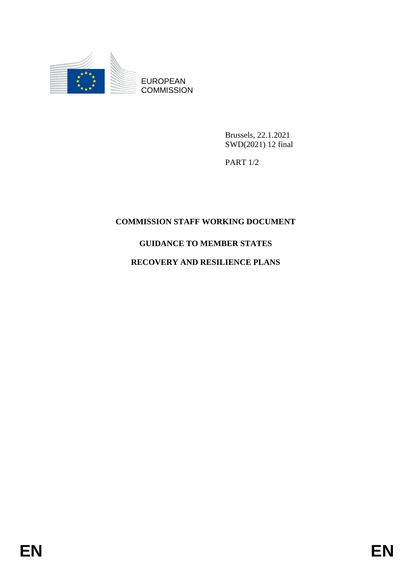

EUROPEAN **COMMISSION** 

> Brussels, 22.1.2021 SWD(2021) 12 final

PART 1/2

## **COMMISSION STAFF WORKING DOCUMENT**

## **GUIDANCE TO MEMBER STATES**

## **RECOVERY AND RESILIENCE PLANS**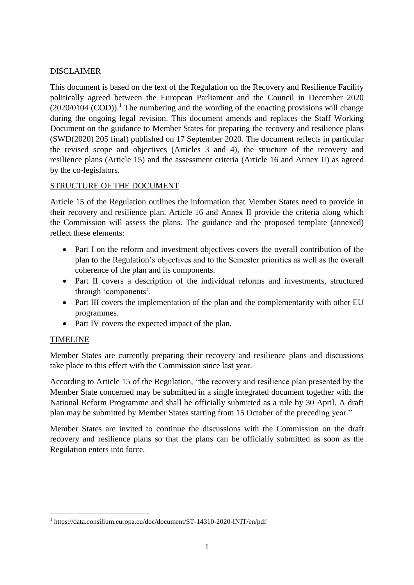#### DISCLAIMER

This document is based on the text of the Regulation on the Recovery and Resilience Facility politically agreed between the European Parliament and the Council in December 2020  $(2020/0104 \, (COD))$ .<sup>1</sup> The numbering and the wording of the enacting provisions will change during the ongoing legal revision. This document amends and replaces the Staff Working Document on the guidance to Member States for preparing the recovery and resilience plans (SWD(2020) 205 final) published on 17 September 2020. The document reflects in particular the revised scope and objectives (Articles 3 and 4), the structure of the recovery and resilience plans (Article 15) and the assessment criteria (Article 16 and Annex II) as agreed by the co-legislators.

## STRUCTURE OF THE DOCUMENT

Article 15 of the Regulation outlines the information that Member States need to provide in their recovery and resilience plan. Article 16 and Annex II provide the criteria along which the Commission will assess the plans. The guidance and the proposed template (annexed) reflect these elements:

- Part I on the reform and investment objectives covers the overall contribution of the plan to the Regulation's objectives and to the Semester priorities as well as the overall coherence of the plan and its components.
- Part II covers a description of the individual reforms and investments, structured through 'components'.
- Part III covers the implementation of the plan and the complementarity with other EU programmes.
- Part IV covers the expected impact of the plan.

## TIMELINE

**.** 

Member States are currently preparing their recovery and resilience plans and discussions take place to this effect with the Commission since last year.

According to Article 15 of the Regulation, "the recovery and resilience plan presented by the Member State concerned may be submitted in a single integrated document together with the National Reform Programme and shall be officially submitted as a rule by 30 April. A draft plan may be submitted by Member States starting from 15 October of the preceding year."

Member States are invited to continue the discussions with the Commission on the draft recovery and resilience plans so that the plans can be officially submitted as soon as the Regulation enters into force.

<sup>1</sup> https://data.consilium.europa.eu/doc/document/ST-14310-2020-INIT/en/pdf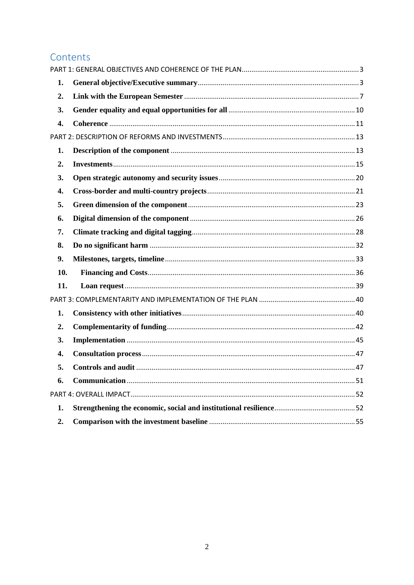## Contents

| 1.  |  |
|-----|--|
| 2.  |  |
| 3.  |  |
| 4.  |  |
|     |  |
| 1.  |  |
| 2.  |  |
| 3.  |  |
| 4.  |  |
| 5.  |  |
| 6.  |  |
| 7.  |  |
| 8.  |  |
| 9.  |  |
| 10. |  |
| 11. |  |
|     |  |
| 1.  |  |
| 2.  |  |
| 3.  |  |
| 4.  |  |
| 5.  |  |
| 6.  |  |
|     |  |
| 1.  |  |
| 2.  |  |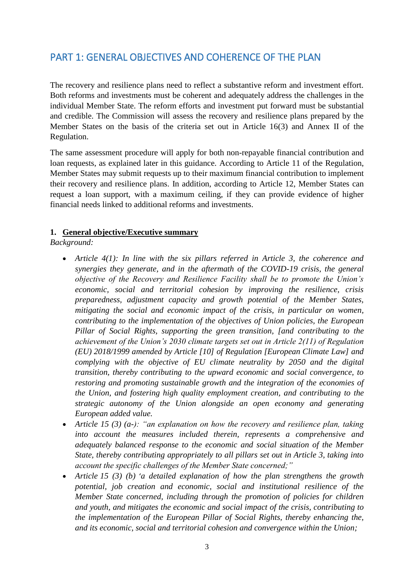# <span id="page-3-0"></span>PART 1: GENERAL OBJECTIVES AND COHERENCE OF THE PLAN

The recovery and resilience plans need to reflect a substantive reform and investment effort. Both reforms and investments must be coherent and adequately address the challenges in the individual Member State. The reform efforts and investment put forward must be substantial and credible. The Commission will assess the recovery and resilience plans prepared by the Member States on the basis of the criteria set out in Article 16(3) and Annex II of the Regulation.

The same assessment procedure will apply for both non-repayable financial contribution and loan requests, as explained later in this guidance. According to Article 11 of the Regulation, Member States may submit requests up to their maximum financial contribution to implement their recovery and resilience plans. In addition, according to Article 12, Member States can request a loan support, with a maximum ceiling, if they can provide evidence of higher financial needs linked to additional reforms and investments.

#### <span id="page-3-1"></span>**1. General objective/Executive summary**

*Background:*

- *Article 4(1): In line with the six pillars referred in Article 3, the coherence and synergies they generate, and in the aftermath of the COVID-19 crisis, the general objective of the Recovery and Resilience Facility shall be to promote the Union's economic, social and territorial cohesion by improving the resilience, crisis preparedness, adjustment capacity and growth potential of the Member States, mitigating the social and economic impact of the crisis, in particular on women, contributing to the implementation of the objectives of Union policies, the European Pillar of Social Rights, supporting the green transition, [and contributing to the achievement of the Union's 2030 climate targets set out in Article 2(11) of Regulation (EU) 2018/1999 amended by Article [10] of Regulation [European Climate Law] and complying with the objective of EU climate neutrality by 2050 and the digital transition, thereby contributing to the upward economic and social convergence, to restoring and promoting sustainable growth and the integration of the economies of the Union, and fostering high quality employment creation, and contributing to the strategic autonomy of the Union alongside an open economy and generating European added value.*
- *Article 15 (3) (a-): "an explanation on how the recovery and resilience plan, taking into account the measures included therein, represents a comprehensive and adequately balanced response to the economic and social situation of the Member State, thereby contributing appropriately to all pillars set out in Article 3, taking into account the specific challenges of the Member State concerned;"*
- *Article 15 (3) (b)* '*a detailed explanation of how the plan strengthens the growth potential, job creation and economic, social and institutional resilience of the Member State concerned, including through the promotion of policies for children and youth, and mitigates the economic and social impact of the crisis, contributing to the implementation of the European Pillar of Social Rights, thereby enhancing the, and its economic, social and territorial cohesion and convergence within the Union;*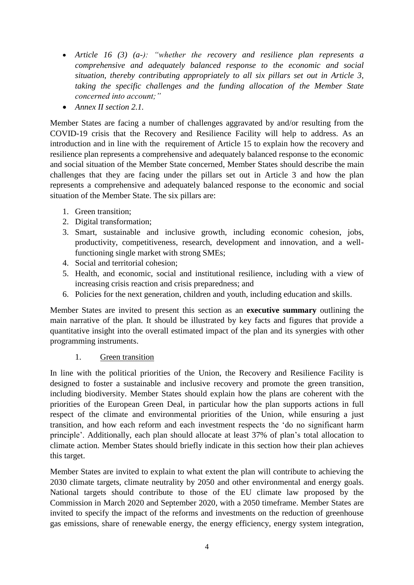- *Article 16 (3) (a-): "whether the recovery and resilience plan represents a comprehensive and adequately balanced response to the economic and social situation, thereby contributing appropriately to all six pillars set out in Article 3, taking the specific challenges and the funding allocation of the Member State concerned into account;"*
- *Annex II section 2.1.*

Member States are facing a number of challenges aggravated by and/or resulting from the COVID-19 crisis that the Recovery and Resilience Facility will help to address. As an introduction and in line with the requirement of Article 15 to explain how the recovery and resilience plan represents a comprehensive and adequately balanced response to the economic and social situation of the Member State concerned, Member States should describe the main challenges that they are facing under the pillars set out in Article 3 and how the plan represents a comprehensive and adequately balanced response to the economic and social situation of the Member State. The six pillars are:

- 1. Green transition;
- 2. Digital transformation;
- 3. Smart, sustainable and inclusive growth, including economic cohesion, jobs, productivity, competitiveness, research, development and innovation, and a wellfunctioning single market with strong SMEs;
- 4. Social and territorial cohesion;
- 5. Health, and economic, social and institutional resilience, including with a view of increasing crisis reaction and crisis preparedness; and
- 6. Policies for the next generation, children and youth, including education and skills.

Member States are invited to present this section as an **executive summary** outlining the main narrative of the plan. It should be illustrated by key facts and figures that provide a quantitative insight into the overall estimated impact of the plan and its synergies with other programming instruments.

#### 1. Green transition

In line with the political priorities of the Union, the Recovery and Resilience Facility is designed to foster a sustainable and inclusive recovery and promote the green transition, including biodiversity. Member States should explain how the plans are coherent with the priorities of the European Green Deal, in particular how the plan supports actions in full respect of the climate and environmental priorities of the Union, while ensuring a just transition, and how each reform and each investment respects the 'do no significant harm principle'. Additionally, each plan should allocate at least 37% of plan's total allocation to climate action. Member States should briefly indicate in this section how their plan achieves this target.

Member States are invited to explain to what extent the plan will contribute to achieving the 2030 climate targets, climate neutrality by 2050 and other environmental and energy goals. National targets should contribute to those of the EU climate law proposed by the Commission in March 2020 and September 2020, with a 2050 timeframe. Member States are invited to specify the impact of the reforms and investments on the reduction of greenhouse gas emissions, share of renewable energy, the energy efficiency, energy system integration,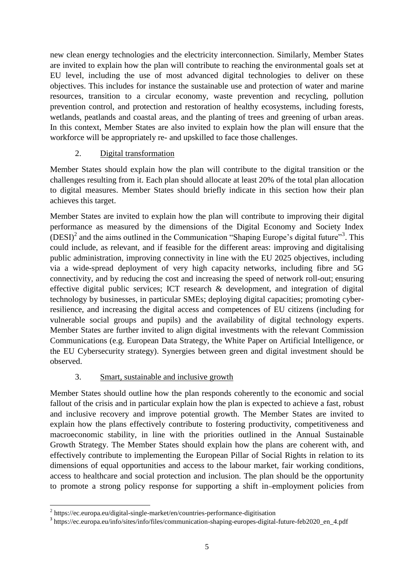new clean energy technologies and the electricity interconnection. Similarly, Member States are invited to explain how the plan will contribute to reaching the environmental goals set at EU level, including the use of most advanced digital technologies to deliver on these objectives. This includes for instance the sustainable use and protection of water and marine resources, transition to a circular economy, waste prevention and recycling, pollution prevention control, and protection and restoration of healthy ecosystems, including forests, wetlands, peatlands and coastal areas, and the planting of trees and greening of urban areas. In this context, Member States are also invited to explain how the plan will ensure that the workforce will be appropriately re- and upskilled to face those challenges.

## 2. Digital transformation

Member States should explain how the plan will contribute to the digital transition or the challenges resulting from it. Each plan should allocate at least 20% of the total plan allocation to digital measures. Member States should briefly indicate in this section how their plan achieves this target.

Member States are invited to explain how the plan will contribute to improving their digital performance as measured by the dimensions of the Digital Economy and Society Index  $(DESI)<sup>2</sup>$  and the aims outlined in the Communication "Shaping Europe's digital future"<sup>3</sup>. This could include, as relevant, and if feasible for the different areas: improving and digitalising public administration, improving connectivity in line with the EU 2025 objectives, including via a wide-spread deployment of very high capacity networks, including fibre and 5G connectivity, and by reducing the cost and increasing the speed of network roll-out; ensuring effective digital public services; ICT research & development, and integration of digital technology by businesses, in particular SMEs; deploying digital capacities; promoting cyberresilience, and increasing the digital access and competences of EU citizens (including for vulnerable social groups and pupils) and the availability of digital technology experts. Member States are further invited to align digital investments with the relevant Commission Communications (e.g. European Data Strategy, the White Paper on Artificial Intelligence, or the EU Cybersecurity strategy). Synergies between green and digital investment should be observed.

## 3. Smart, sustainable and inclusive growth

Member States should outline how the plan responds coherently to the economic and social fallout of the crisis and in particular explain how the plan is expected to achieve a fast, robust and inclusive recovery and improve potential growth. The Member States are invited to explain how the plans effectively contribute to fostering productivity, competitiveness and macroeconomic stability, in line with the priorities outlined in the Annual Sustainable Growth Strategy. The Member States should explain how the plans are coherent with, and effectively contribute to implementing the European Pillar of Social Rights in relation to its dimensions of equal opportunities and access to the labour market, fair working conditions, access to healthcare and social protection and inclusion. The plan should be the opportunity to promote a strong policy response for supporting a shift in employment policies from

 2 https://ec.europa.eu/digital-single-market/en/countries-performance-digitisation

<sup>&</sup>lt;sup>3</sup> https://ec.europa.eu/info/sites/info/files/communication-shaping-europes-digital-future-feb2020\_en\_4.pdf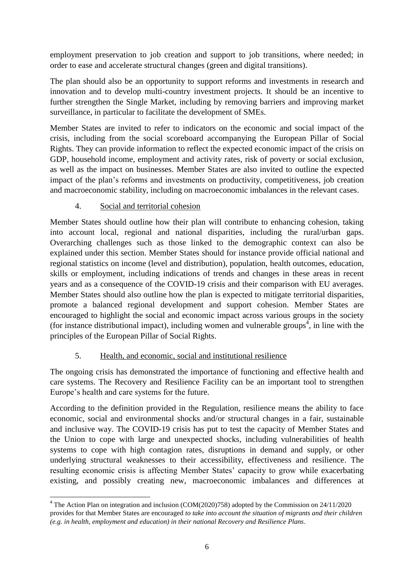employment preservation to job creation and support to job transitions, where needed; in order to ease and accelerate structural changes (green and digital transitions).

The plan should also be an opportunity to support reforms and investments in research and innovation and to develop multi-country investment projects. It should be an incentive to further strengthen the Single Market, including by removing barriers and improving market surveillance, in particular to facilitate the development of SMEs.

Member States are invited to refer to indicators on the economic and social impact of the crisis, including from the social scoreboard accompanying the European Pillar of Social Rights. They can provide information to reflect the expected economic impact of the crisis on GDP, household income, employment and activity rates, risk of poverty or social exclusion, as well as the impact on businesses. Member States are also invited to outline the expected impact of the plan's reforms and investments on productivity, competitiveness, job creation and macroeconomic stability, including on macroeconomic imbalances in the relevant cases.

## 4. Social and territorial cohesion

Member States should outline how their plan will contribute to enhancing cohesion, taking into account local, regional and national disparities, including the rural/urban gaps. Overarching challenges such as those linked to the demographic context can also be explained under this section. Member States should for instance provide official national and regional statistics on income (level and distribution), population, health outcomes, education, skills or employment, including indications of trends and changes in these areas in recent years and as a consequence of the COVID-19 crisis and their comparison with EU averages. Member States should also outline how the plan is expected to mitigate territorial disparities, promote a balanced regional development and support cohesion. Member States are encouraged to highlight the social and economic impact across various groups in the society (for instance distributional impact), including women and vulnerable groups<sup>4</sup>, in line with the principles of the European Pillar of Social Rights.

## 5. Health, and economic, social and institutional resilience

The ongoing crisis has demonstrated the importance of functioning and effective health and care systems. The Recovery and Resilience Facility can be an important tool to strengthen Europe's health and care systems for the future.

According to the definition provided in the Regulation, resilience means the ability to face economic, social and environmental shocks and/or structural changes in a fair, sustainable and inclusive way. The COVID-19 crisis has put to test the capacity of Member States and the Union to cope with large and unexpected shocks, including vulnerabilities of health systems to cope with high contagion rates, disruptions in demand and supply, or other underlying structural weaknesses to their accessibility, effectiveness and resilience. The resulting economic crisis is affecting Member States' capacity to grow while exacerbating existing, and possibly creating new, macroeconomic imbalances and differences at

**<sup>.</sup>** <sup>4</sup> The Action Plan on integration and inclusion (COM(2020)758) adopted by the Commission on 24/11/2020 provides for that Member States are encouraged *to take into account the situation of migrants and their children (e.g. in health, employment and education) in their national Recovery and Resilience Plans*.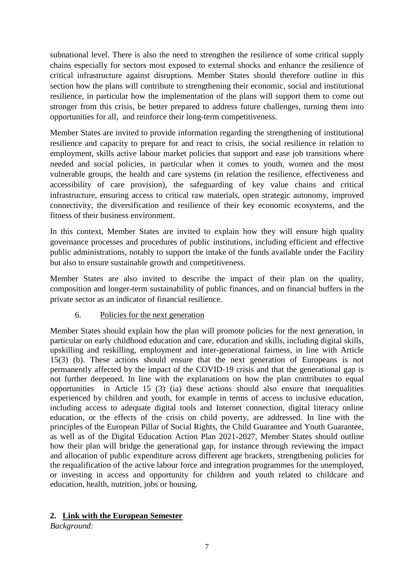subnational level. There is also the need to strengthen the resilience of some critical supply chains especially for sectors most exposed to external shocks and enhance the resilience of critical infrastructure against disruptions. Member States should therefore outline in this section how the plans will contribute to strengthening their economic, social and institutional resilience, in particular how the implementation of the plans will support them to come out stronger from this crisis, be better prepared to address future challenges, turning them into opportunities for all, and reinforce their long-term competitiveness.

Member States are invited to provide information regarding the strengthening of institutional resilience and capacity to prepare for and react to crisis, the social resilience in relation to employment, skills active labour market policies that support and ease job transitions where needed and social policies, in particular when it comes to youth, women and the most vulnerable groups, the health and care systems (in relation the resilience, effectiveness and accessibility of care provision), the safeguarding of key value chains and critical infrastructure, ensuring access to critical raw materials, open strategic autonomy, improved connectivity, the diversification and resilience of their key economic ecosystems, and the fitness of their business environment.

In this context, Member States are invited to explain how they will ensure high quality governance processes and procedures of public institutions, including efficient and effective public administrations, notably to support the intake of the funds available under the Facility but also to ensure sustainable growth and competitiveness.

Member States are also invited to describe the impact of their plan on the quality, composition and longer-term sustainability of public finances, and on financial buffers in the private sector as an indicator of financial resilience.

#### 6. Policies for the next generation

Member States should explain how the plan will promote policies for the next generation, in particular on early childhood education and care, education and skills, including digital skills, upskilling and reskilling, employment and inter-generational fairness, in line with Article 15(3) (b). These actions should ensure that the next generation of Europeans is not permanently affected by the impact of the COVID-19 crisis and that the generational gap is not further deepened. In line with the explanations on how the plan contributes to equal opportunities in Article 15 (3) (ia) these actions should also ensure that inequalities experienced by children and youth, for example in terms of access to inclusive education, including access to adequate digital tools and Internet connection, digital literacy online education, or the effects of the crisis on child poverty, are addressed. In line with the principles of the European Pillar of Social Rights, the Child Guarantee and Youth Guarantee, as well as of the Digital Education Action Plan 2021-2027, Member States should outline how their plan will bridge the generational gap, for instance through reviewing the impact and allocation of public expenditure across different age brackets, strengthening policies for the requalification of the active labour force and integration programmes for the unemployed, or investing in access and opportunity for children and youth related to childcare and education, health, nutrition, jobs or housing.

#### <span id="page-7-0"></span>**2. Link with the European Semester**

*Background:*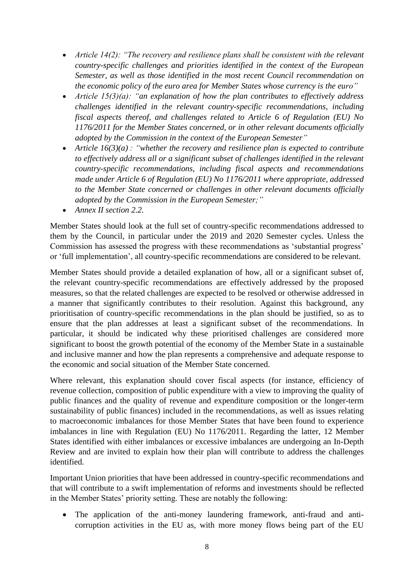- *Article 14(2): "The recovery and resilience plans shall be consistent with the relevant country-specific challenges and priorities identified in the context of the European Semester, as well as those identified in the most recent Council recommendation on the economic policy of the euro area for Member States whose currency is the euro"*
- *Article 15(3)(a): "an explanation of how the plan contributes to effectively address challenges identified in the relevant country-specific recommendations, including fiscal aspects thereof, and challenges related to Article 6 of Regulation (EU) No 1176/2011 for the Member States concerned, or in other relevant documents officially adopted by the Commission in the context of the European Semester"*
- *Article 16(3)(a) : "whether the recovery and resilience plan is expected to contribute to effectively address all or a significant subset of challenges identified in the relevant country-specific recommendations, including fiscal aspects and recommendations made under Article 6 of Regulation (EU) No 1176/2011 where appropriate, addressed to the Member State concerned or challenges in other relevant documents officially adopted by the Commission in the European Semester;"*
- *Annex II section 2.2.*

Member States should look at the full set of country-specific recommendations addressed to them by the Council, in particular under the 2019 and 2020 Semester cycles. Unless the Commission has assessed the progress with these recommendations as 'substantial progress' or 'full implementation', all country-specific recommendations are considered to be relevant.

Member States should provide a detailed explanation of how, all or a significant subset of, the relevant country-specific recommendations are effectively addressed by the proposed measures, so that the related challenges are expected to be resolved or otherwise addressed in a manner that significantly contributes to their resolution. Against this background, any prioritisation of country-specific recommendations in the plan should be justified, so as to ensure that the plan addresses at least a significant subset of the recommendations. In particular, it should be indicated why these prioritised challenges are considered more significant to boost the growth potential of the economy of the Member State in a sustainable and inclusive manner and how the plan represents a comprehensive and adequate response to the economic and social situation of the Member State concerned.

Where relevant, this explanation should cover fiscal aspects (for instance, efficiency of revenue collection, composition of public expenditure with a view to improving the quality of public finances and the quality of revenue and expenditure composition or the longer-term sustainability of public finances) included in the recommendations, as well as issues relating to macroeconomic imbalances for those Member States that have been found to experience imbalances in line with Regulation (EU) No 1176/2011. Regarding the latter, 12 Member States identified with either imbalances or excessive imbalances are undergoing an In-Depth Review and are invited to explain how their plan will contribute to address the challenges identified.

Important Union priorities that have been addressed in country-specific recommendations and that will contribute to a swift implementation of reforms and investments should be reflected in the Member States' priority setting. These are notably the following:

 The application of the anti-money laundering framework, anti-fraud and anticorruption activities in the EU as, with more money flows being part of the EU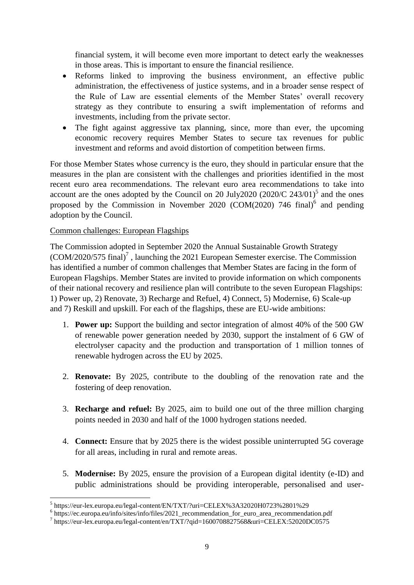financial system, it will become even more important to detect early the weaknesses in those areas. This is important to ensure the financial resilience.

- Reforms linked to improving the business environment, an effective public administration, the effectiveness of justice systems, and in a broader sense respect of the Rule of Law are essential elements of the Member States' overall recovery strategy as they contribute to ensuring a swift implementation of reforms and investments, including from the private sector.
- The fight against aggressive tax planning, since, more than ever, the upcoming economic recovery requires Member States to secure tax revenues for public investment and reforms and avoid distortion of competition between firms.

For those Member States whose currency is the euro, they should in particular ensure that the measures in the plan are consistent with the challenges and priorities identified in the most recent euro area recommendations. The relevant euro area recommendations to take into account are the ones adopted by the Council on 20 July2020  $(2020/C 243/01)^5$  and the ones proposed by the Commission in November 2020 (COM(2020) 746 final)<sup>6</sup> and pending adoption by the Council.

#### Common challenges: European Flagships

The Commission adopted in September 2020 the Annual Sustainable Growth Strategy  $(COM/2020/575$  final)<sup>7</sup>, launching the 2021 European Semester exercise. The Commission has identified a number of common challenges that Member States are facing in the form of European Flagships. Member States are invited to provide information on which components of their national recovery and resilience plan will contribute to the seven European Flagships: 1) Power up, 2) Renovate, 3) Recharge and Refuel, 4) Connect, 5) Modernise, 6) Scale-up and 7) Reskill and upskill. For each of the flagships, these are EU-wide ambitions:

- 1. **Power up:** Support the building and sector integration of almost 40% of the 500 GW of renewable power generation needed by 2030, support the instalment of 6 GW of electrolyser capacity and the production and transportation of 1 million tonnes of renewable hydrogen across the EU by 2025.
- 2. **Renovate:** By 2025, contribute to the doubling of the renovation rate and the fostering of deep renovation.
- 3. **Recharge and refuel:** By 2025, aim to build one out of the three million charging points needed in 2030 and half of the 1000 hydrogen stations needed.
- 4. **Connect:** Ensure that by 2025 there is the widest possible uninterrupted 5G coverage for all areas, including in rural and remote areas.
- 5. **Modernise:** By 2025, ensure the provision of a European digital identity (e-ID) and public administrations should be providing interoperable, personalised and user-

<sup>-&</sup>lt;br>
5 https://eur-lex.europa.eu/legal-content/EN/TXT/?uri=CELEX%3A32020H0723%2801%29

<sup>&</sup>lt;sup>6</sup> https://ec.europa.eu/info/sites/info/files/2021\_recommendation\_for\_euro\_area\_recommendation.pdf

<sup>&</sup>lt;sup>7</sup> https://eur-lex.europa.eu/legal-content/en/TXT/?qid=1600708827568&uri=CELEX:52020DC0575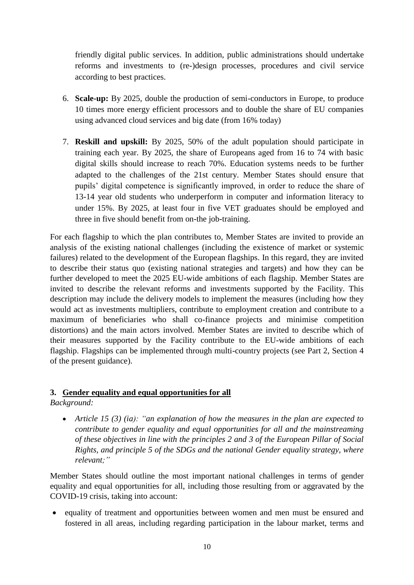friendly digital public services. In addition, public administrations should undertake reforms and investments to (re-)design processes, procedures and civil service according to best practices.

- 6. **Scale-up:** By 2025, double the production of semi-conductors in Europe, to produce 10 times more energy efficient processors and to double the share of EU companies using advanced cloud services and big date (from 16% today)
- 7. **Reskill and upskill:** By 2025, 50% of the adult population should participate in training each year. By 2025, the share of Europeans aged from 16 to 74 with basic digital skills should increase to reach 70%. Education systems needs to be further adapted to the challenges of the 21st century. Member States should ensure that pupils' digital competence is significantly improved, in order to reduce the share of 13-14 year old students who underperform in computer and information literacy to under 15%. By 2025, at least four in five VET graduates should be employed and three in five should benefit from on-the job-training.

For each flagship to which the plan contributes to, Member States are invited to provide an analysis of the existing national challenges (including the existence of market or systemic failures) related to the development of the European flagships. In this regard, they are invited to describe their status quo (existing national strategies and targets) and how they can be further developed to meet the 2025 EU-wide ambitions of each flagship. Member States are invited to describe the relevant reforms and investments supported by the Facility. This description may include the delivery models to implement the measures (including how they would act as investments multipliers, contribute to employment creation and contribute to a maximum of beneficiaries who shall co-finance projects and minimise competition distortions) and the main actors involved. Member States are invited to describe which of their measures supported by the Facility contribute to the EU-wide ambitions of each flagship. Flagships can be implemented through multi-country projects (see Part 2, Section 4 of the present guidance).

## <span id="page-10-0"></span>**3. Gender equality and equal opportunities for all**

*Background:* 

 *Article 15 (3) (ia): "an explanation of how the measures in the plan are expected to contribute to gender equality and equal opportunities for all and the mainstreaming of these objectives in line with the principles 2 and 3 of the European Pillar of Social Rights, and principle 5 of the SDGs and the national Gender equality strategy, where relevant;"*

Member States should outline the most important national challenges in terms of gender equality and equal opportunities for all, including those resulting from or aggravated by the COVID-19 crisis, taking into account:

 equality of treatment and opportunities between women and men must be ensured and fostered in all areas, including regarding participation in the labour market, terms and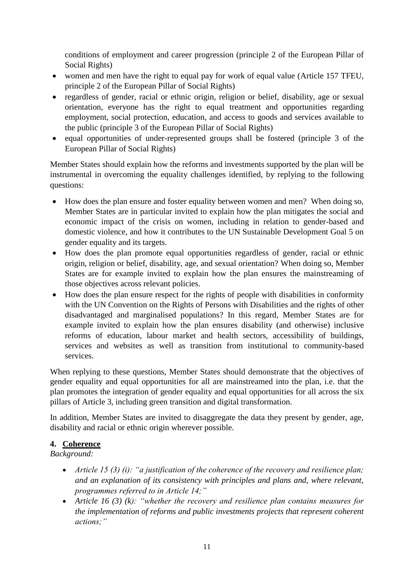conditions of employment and career progression (principle 2 of the European Pillar of Social Rights)

- women and men have the right to equal pay for work of equal value (Article 157 TFEU, principle 2 of the European Pillar of Social Rights)
- regardless of gender, racial or ethnic origin, religion or belief, disability, age or sexual orientation, everyone has the right to equal treatment and opportunities regarding employment, social protection, education, and access to goods and services available to the public (principle 3 of the European Pillar of Social Rights)
- equal opportunities of under-represented groups shall be fostered (principle 3 of the European Pillar of Social Rights)

Member States should explain how the reforms and investments supported by the plan will be instrumental in overcoming the equality challenges identified, by replying to the following questions:

- How does the plan ensure and foster equality between women and men? When doing so, Member States are in particular invited to explain how the plan mitigates the social and economic impact of the crisis on women, including in relation to gender-based and domestic violence, and how it contributes to the UN Sustainable Development Goal 5 on gender equality and its targets.
- How does the plan promote equal opportunities regardless of gender, racial or ethnic origin, religion or belief, disability, age, and sexual orientation? When doing so, Member States are for example invited to explain how the plan ensures the mainstreaming of those objectives across relevant policies.
- How does the plan ensure respect for the rights of people with disabilities in conformity with the UN Convention on the Rights of Persons with Disabilities and the rights of other disadvantaged and marginalised populations? In this regard, Member States are for example invited to explain how the plan ensures disability (and otherwise) inclusive reforms of education, labour market and health sectors, accessibility of buildings, services and websites as well as transition from institutional to community-based services.

When replying to these questions, Member States should demonstrate that the objectives of gender equality and equal opportunities for all are mainstreamed into the plan, i.e. that the plan promotes the integration of gender equality and equal opportunities for all across the six pillars of Article 3, including green transition and digital transformation.

In addition, Member States are invited to disaggregate the data they present by gender, age, disability and racial or ethnic origin wherever possible.

## <span id="page-11-0"></span>**4. Coherence**

*Background:* 

- *Article 15 (3) (i): "a justification of the coherence of the recovery and resilience plan; and an explanation of its consistency with principles and plans and, where relevant, programmes referred to in Article 14;"*
- *Article 16 (3) (k): "whether the recovery and resilience plan contains measures for the implementation of reforms and public investments projects that represent coherent actions;"*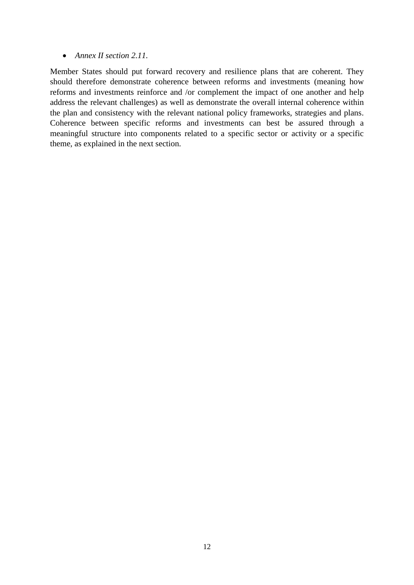#### *Annex II section 2.11.*

Member States should put forward recovery and resilience plans that are coherent. They should therefore demonstrate coherence between reforms and investments (meaning how reforms and investments reinforce and /or complement the impact of one another and help address the relevant challenges) as well as demonstrate the overall internal coherence within the plan and consistency with the relevant national policy frameworks, strategies and plans. Coherence between specific reforms and investments can best be assured through a meaningful structure into components related to a specific sector or activity or a specific theme, as explained in the next section.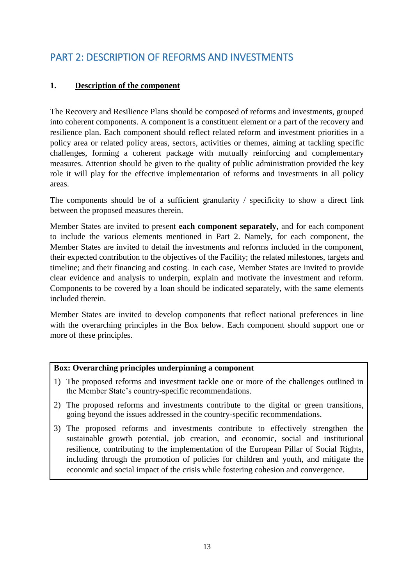# <span id="page-13-0"></span>PART 2: DESCRIPTION OF REFORMS AND INVESTMENTS

## <span id="page-13-1"></span>**1. Description of the component**

The Recovery and Resilience Plans should be composed of reforms and investments, grouped into coherent components. A component is a constituent element or a part of the recovery and resilience plan. Each component should reflect related reform and investment priorities in a policy area or related policy areas, sectors, activities or themes, aiming at tackling specific challenges, forming a coherent package with mutually reinforcing and complementary measures. Attention should be given to the quality of public administration provided the key role it will play for the effective implementation of reforms and investments in all policy areas.

The components should be of a sufficient granularity / specificity to show a direct link between the proposed measures therein.

Member States are invited to present **each component separately**, and for each component to include the various elements mentioned in Part 2. Namely, for each component, the Member States are invited to detail the investments and reforms included in the component, their expected contribution to the objectives of the Facility; the related milestones, targets and timeline; and their financing and costing. In each case, Member States are invited to provide clear evidence and analysis to underpin, explain and motivate the investment and reform. Components to be covered by a loan should be indicated separately, with the same elements included therein.

Member States are invited to develop components that reflect national preferences in line with the overarching principles in the Box below. Each component should support one or more of these principles.

#### **Box: Overarching principles underpinning a component**

- 1) The proposed reforms and investment tackle one or more of the challenges outlined in the Member State's country-specific recommendations.
- 2) The proposed reforms and investments contribute to the digital or green transitions, going beyond the issues addressed in the country-specific recommendations.
- 3) The proposed reforms and investments contribute to effectively strengthen the sustainable growth potential, job creation, and economic, social and institutional resilience, contributing to the implementation of the European Pillar of Social Rights, including through the promotion of policies for children and youth, and mitigate the economic and social impact of the crisis while fostering cohesion and convergence.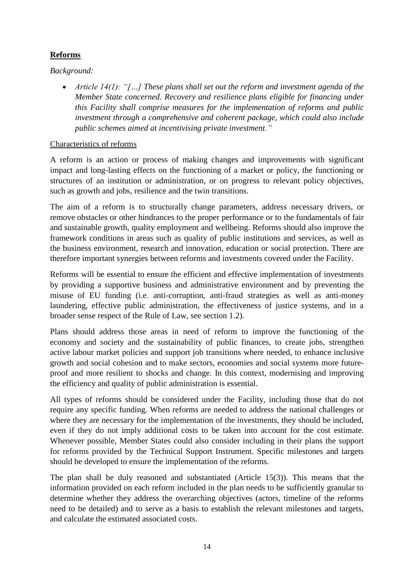## **Reforms**

## *Background:*

 *Article 14(1): "[…] These plans shall set out the reform and investment agenda of the Member State concerned. Recovery and resilience plans eligible for financing under this Facility shall comprise measures for the implementation of reforms and public investment through a comprehensive and coherent package, which could also include public schemes aimed at incentivising private investment."*

### Characteristics of reforms

A reform is an action or process of making changes and improvements with significant impact and long-lasting effects on the functioning of a market or policy, the functioning or structures of an institution or administration, or on progress to relevant policy objectives, such as growth and jobs, resilience and the twin transitions.

The aim of a reform is to structurally change parameters, address necessary drivers, or remove obstacles or other hindrances to the proper performance or to the fundamentals of fair and sustainable growth, quality employment and wellbeing. Reforms should also improve the framework conditions in areas such as quality of public institutions and services, as well as the business environment, research and innovation, education or social protection. There are therefore important synergies between reforms and investments covered under the Facility.

Reforms will be essential to ensure the efficient and effective implementation of investments by providing a supportive business and administrative environment and by preventing the misuse of EU funding (i.e. anti-corruption, anti-fraud strategies as well as anti-money laundering, effective public administration, the effectiveness of justice systems, and in a broader sense respect of the Rule of Law, see section 1.2).

Plans should address those areas in need of reform to improve the functioning of the economy and society and the sustainability of public finances, to create jobs, strengthen active labour market policies and support job transitions where needed, to enhance inclusive growth and social cohesion and to make sectors, economies and social systems more futureproof and more resilient to shocks and change. In this context, modernising and improving the efficiency and quality of public administration is essential.

All types of reforms should be considered under the Facility, including those that do not require any specific funding. When reforms are needed to address the national challenges or where they are necessary for the implementation of the investments, they should be included, even if they do not imply additional costs to be taken into account for the cost estimate. Whenever possible, Member States could also consider including in their plans the support for reforms provided by the Technical Support Instrument. Specific milestones and targets should be developed to ensure the implementation of the reforms.

The plan shall be duly reasoned and substantiated (Article 15(3)). This means that the information provided on each reform included in the plan needs to be sufficiently granular to determine whether they address the overarching objectives (actors, timeline of the reforms need to be detailed) and to serve as a basis to establish the relevant milestones and targets, and calculate the estimated associated costs.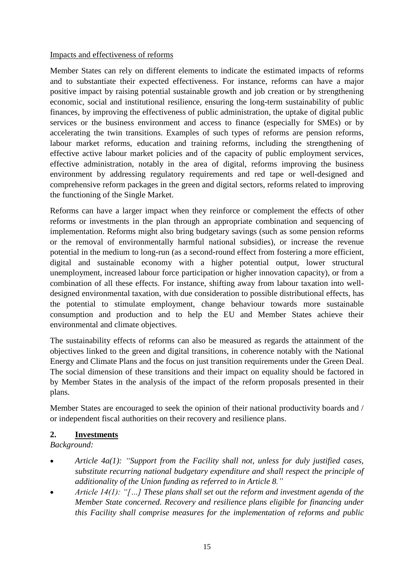#### Impacts and effectiveness of reforms

Member States can rely on different elements to indicate the estimated impacts of reforms and to substantiate their expected effectiveness. For instance, reforms can have a major positive impact by raising potential sustainable growth and job creation or by strengthening economic, social and institutional resilience, ensuring the long-term sustainability of public finances, by improving the effectiveness of public administration, the uptake of digital public services or the business environment and access to finance (especially for SMEs) or by accelerating the twin transitions. Examples of such types of reforms are pension reforms, labour market reforms, education and training reforms, including the strengthening of effective active labour market policies and of the capacity of public employment services, effective administration, notably in the area of digital, reforms improving the business environment by addressing regulatory requirements and red tape or well-designed and comprehensive reform packages in the green and digital sectors, reforms related to improving the functioning of the Single Market.

Reforms can have a larger impact when they reinforce or complement the effects of other reforms or investments in the plan through an appropriate combination and sequencing of implementation. Reforms might also bring budgetary savings (such as some pension reforms or the removal of environmentally harmful national subsidies), or increase the revenue potential in the medium to long-run (as a second-round effect from fostering a more efficient, digital and sustainable economy with a higher potential output, lower structural unemployment, increased labour force participation or higher innovation capacity), or from a combination of all these effects. For instance, shifting away from labour taxation into welldesigned environmental taxation, with due consideration to possible distributional effects, has the potential to stimulate employment, change behaviour towards more sustainable consumption and production and to help the EU and Member States achieve their environmental and climate objectives.

The sustainability effects of reforms can also be measured as regards the attainment of the objectives linked to the green and digital transitions, in coherence notably with the National Energy and Climate Plans and the focus on just transition requirements under the Green Deal. The social dimension of these transitions and their impact on equality should be factored in by Member States in the analysis of the impact of the reform proposals presented in their plans.

Member States are encouraged to seek the opinion of their national productivity boards and / or independent fiscal authorities on their recovery and resilience plans.

#### <span id="page-15-0"></span>**2. Investments**

*Background:* 

- *Article 4a(1): "Support from the Facility shall not, unless for duly justified cases, substitute recurring national budgetary expenditure and shall respect the principle of additionality of the Union funding as referred to in Article 8."*
- *Article 14(1): "[…] These plans shall set out the reform and investment agenda of the Member State concerned. Recovery and resilience plans eligible for financing under this Facility shall comprise measures for the implementation of reforms and public*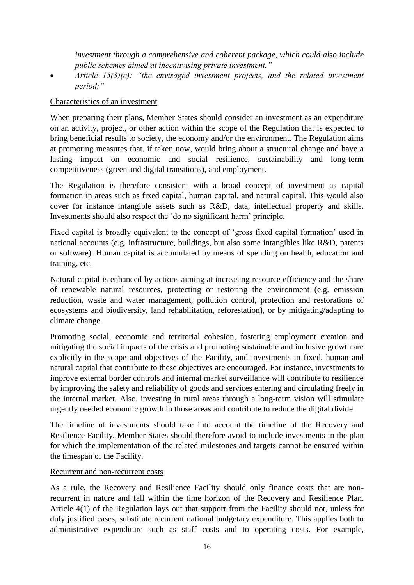*investment through a comprehensive and coherent package, which could also include public schemes aimed at incentivising private investment."*

 *Article 15(3)(e): "the envisaged investment projects, and the related investment period;"*

#### Characteristics of an investment

When preparing their plans, Member States should consider an investment as an expenditure on an activity, project, or other action within the scope of the Regulation that is expected to bring beneficial results to society, the economy and/or the environment. The Regulation aims at promoting measures that, if taken now, would bring about a structural change and have a lasting impact on economic and social resilience, sustainability and long-term competitiveness (green and digital transitions), and employment.

The Regulation is therefore consistent with a broad concept of investment as capital formation in areas such as fixed capital, human capital, and natural capital. This would also cover for instance intangible assets such as R&D, data, intellectual property and skills. Investments should also respect the 'do no significant harm' principle.

Fixed capital is broadly equivalent to the concept of 'gross fixed capital formation' used in national accounts (e.g. infrastructure, buildings, but also some intangibles like R&D, patents or software). Human capital is accumulated by means of spending on health, education and training, etc.

Natural capital is enhanced by actions aiming at increasing resource efficiency and the share of renewable natural resources, protecting or restoring the environment (e.g. emission reduction, waste and water management, pollution control, protection and restorations of ecosystems and biodiversity, land rehabilitation, reforestation), or by mitigating/adapting to climate change.

Promoting social, economic and territorial cohesion, fostering employment creation and mitigating the social impacts of the crisis and promoting sustainable and inclusive growth are explicitly in the scope and objectives of the Facility, and investments in fixed, human and natural capital that contribute to these objectives are encouraged. For instance, investments to improve external border controls and internal market surveillance will contribute to resilience by improving the safety and reliability of goods and services entering and circulating freely in the internal market. Also, investing in rural areas through a long-term vision will stimulate urgently needed economic growth in those areas and contribute to reduce the digital divide.

The timeline of investments should take into account the timeline of the Recovery and Resilience Facility. Member States should therefore avoid to include investments in the plan for which the implementation of the related milestones and targets cannot be ensured within the timespan of the Facility.

#### Recurrent and non-recurrent costs

As a rule, the Recovery and Resilience Facility should only finance costs that are nonrecurrent in nature and fall within the time horizon of the Recovery and Resilience Plan. Article 4(1) of the Regulation lays out that support from the Facility should not, unless for duly justified cases, substitute recurrent national budgetary expenditure. This applies both to administrative expenditure such as staff costs and to operating costs. For example,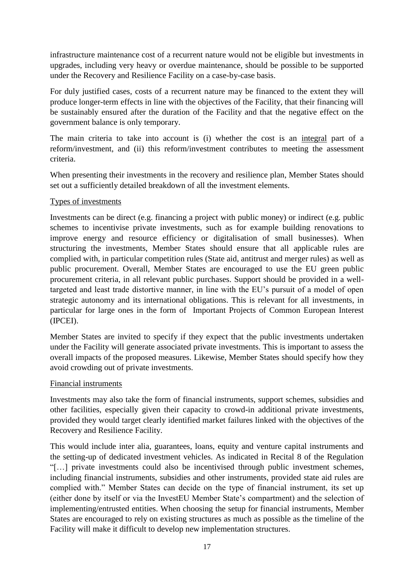infrastructure maintenance cost of a recurrent nature would not be eligible but investments in upgrades, including very heavy or overdue maintenance, should be possible to be supported under the Recovery and Resilience Facility on a case-by-case basis.

For duly justified cases, costs of a recurrent nature may be financed to the extent they will produce longer-term effects in line with the objectives of the Facility, that their financing will be sustainably ensured after the duration of the Facility and that the negative effect on the government balance is only temporary.

The main criteria to take into account is (i) whether the cost is an integral part of a reform/investment, and (ii) this reform/investment contributes to meeting the assessment criteria.

When presenting their investments in the recovery and resilience plan, Member States should set out a sufficiently detailed breakdown of all the investment elements.

#### Types of investments

Investments can be direct (e.g. financing a project with public money) or indirect (e.g. public schemes to incentivise private investments, such as for example building renovations to improve energy and resource efficiency or digitalisation of small businesses). When structuring the investments, Member States should ensure that all applicable rules are complied with, in particular competition rules (State aid, antitrust and merger rules) as well as public procurement. Overall, Member States are encouraged to use the EU green public procurement criteria, in all relevant public purchases. Support should be provided in a welltargeted and least trade distortive manner, in line with the EU's pursuit of a model of open strategic autonomy and its international obligations. This is relevant for all investments, in particular for large ones in the form of Important Projects of Common European Interest (IPCEI).

Member States are invited to specify if they expect that the public investments undertaken under the Facility will generate associated private investments. This is important to assess the overall impacts of the proposed measures. Likewise, Member States should specify how they avoid crowding out of private investments.

#### Financial instruments

Investments may also take the form of financial instruments, support schemes, subsidies and other facilities, especially given their capacity to crowd-in additional private investments, provided they would target clearly identified market failures linked with the objectives of the Recovery and Resilience Facility.

This would include inter alia, guarantees, loans, equity and venture capital instruments and the setting-up of dedicated investment vehicles. As indicated in Recital 8 of the Regulation "[…] private investments could also be incentivised through public investment schemes, including financial instruments, subsidies and other instruments, provided state aid rules are complied with." Member States can decide on the type of financial instrument, its set up (either done by itself or via the InvestEU Member State's compartment) and the selection of implementing/entrusted entities. When choosing the setup for financial instruments, Member States are encouraged to rely on existing structures as much as possible as the timeline of the Facility will make it difficult to develop new implementation structures.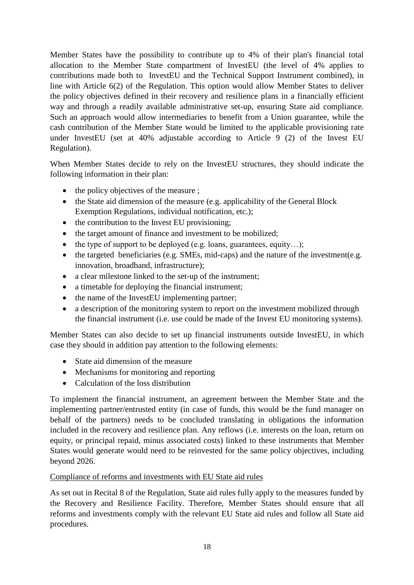Member States have the possibility to contribute up to 4% of their plan's financial total allocation to the Member State compartment of InvestEU (the level of 4% applies to contributions made both to InvestEU and the Technical Support Instrument combined), in line with Article 6(2) of the Regulation. This option would allow Member States to deliver the policy objectives defined in their recovery and resilience plans in a financially efficient way and through a readily available administrative set-up, ensuring State aid compliance. Such an approach would allow intermediaries to benefit from a Union guarantee, while the cash contribution of the Member State would be limited to the applicable provisioning rate under InvestEU (set at 40% adjustable according to Article 9 (2) of the Invest EU Regulation).

When Member States decide to rely on the InvestEU structures, they should indicate the following information in their plan:

- $\bullet$  the policy objectives of the measure ;
- the State aid dimension of the measure (e.g. applicability of the General Block Exemption Regulations, individual notification, etc.);
- the contribution to the Invest EU provisioning;
- the target amount of finance and investment to be mobilized:
- the type of support to be deployed (e.g. loans, guarantees, equity...);
- $\bullet$  the targeted beneficiaries (e.g. SMEs, mid-caps) and the nature of the investment(e.g. innovation, broadband, infrastructure);
- a clear milestone linked to the set-up of the instrument;
- a timetable for deploying the financial instrument;
- the name of the InvestEU implementing partner;
- a description of the monitoring system to report on the investment mobilized through the financial instrument (i.e. use could be made of the Invest EU monitoring systems).

Member States can also decide to set up financial instruments outside InvestEU, in which case they should in addition pay attention to the following elements:

- State aid dimension of the measure
- Mechanisms for monitoring and reporting
- Calculation of the loss distribution

To implement the financial instrument, an agreement between the Member State and the implementing partner/entrusted entity (in case of funds, this would be the fund manager on behalf of the partners) needs to be concluded translating in obligations the information included in the recovery and resilience plan. Any reflows (i.e. interests on the loan, return on equity, or principal repaid, minus associated costs) linked to these instruments that Member States would generate would need to be reinvested for the same policy objectives, including beyond 2026.

#### Compliance of reforms and investments with EU State aid rules

As set out in Recital 8 of the Regulation, State aid rules fully apply to the measures funded by the Recovery and Resilience Facility. Therefore, Member States should ensure that all reforms and investments comply with the relevant EU State aid rules and follow all State aid procedures.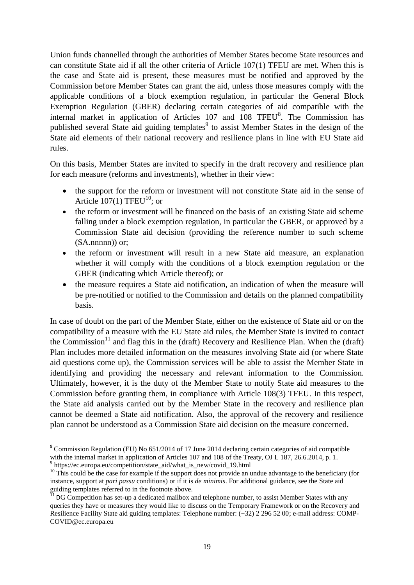Union funds channelled through the authorities of Member States become State resources and can constitute State aid if all the other criteria of Article 107(1) TFEU are met. When this is the case and State aid is present, these measures must be notified and approved by the Commission before Member States can grant the aid, unless those measures comply with the applicable conditions of a block exemption regulation, in particular the General Block Exemption Regulation (GBER) declaring certain categories of aid compatible with the internal market in application of Articles  $107$  and  $108$  TFEU $<sup>8</sup>$ . The Commission has</sup> published several State aid guiding templates<sup>9</sup> to assist Member States in the design of the State aid elements of their national recovery and resilience plans in line with EU State aid rules.

On this basis, Member States are invited to specify in the draft recovery and resilience plan for each measure (reforms and investments), whether in their view:

- the support for the reform or investment will not constitute State aid in the sense of Article  $107(1)$  TFEU<sup>10</sup>; or
- the reform or investment will be financed on the basis of an existing State aid scheme falling under a block exemption regulation, in particular the GBER, or approved by a Commission State aid decision (providing the reference number to such scheme  $(SA.nnnn)$ ) or;
- the reform or investment will result in a new State aid measure, an explanation whether it will comply with the conditions of a block exemption regulation or the GBER (indicating which Article thereof); or
- the measure requires a State aid notification, an indication of when the measure will be pre-notified or notified to the Commission and details on the planned compatibility basis.

In case of doubt on the part of the Member State, either on the existence of State aid or on the compatibility of a measure with the EU State aid rules, the Member State is invited to contact the Commission<sup>11</sup> and flag this in the (draft) Recovery and Resilience Plan. When the (draft) Plan includes more detailed information on the measures involving State aid (or where State aid questions come up), the Commission services will be able to assist the Member State in identifying and providing the necessary and relevant information to the Commission. Ultimately, however, it is the duty of the Member State to notify State aid measures to the Commission before granting them, in compliance with Article 108(3) TFEU. In this respect, the State aid analysis carried out by the Member State in the recovery and resilience plan cannot be deemed a State aid notification. Also, the approval of the recovery and resilience plan cannot be understood as a Commission State aid decision on the measure concerned.

**.** 

<sup>&</sup>lt;sup>8</sup> Commission Regulation (EU) No 651/2014 of 17 June 2014 declaring certain categories of aid compatible with the internal market in application of Articles 107 and 108 of the Treaty, OJ L 187, 26.6.2014, p. 1.

<sup>9</sup> https://ec.europa.eu/competition/state\_aid/what\_is\_new/covid\_19.html

 $10$  This could be the case for example if the support does not provide an undue advantage to the beneficiary (for instance, support at *pari passu* conditions) or if it is *de minimis*. For additional guidance, see the State aid guiding templates referred to in the footnote above.

<sup>11</sup> DG Competition has set-up a dedicated mailbox and telephone number, to assist Member States with any queries they have or measures they would like to discuss on the Temporary Framework or on the Recovery and Resilience Facility State aid guiding templates: Telephone number: (+32) 2 296 52 00; e-mail address: COMP-COVID@ec.europa.eu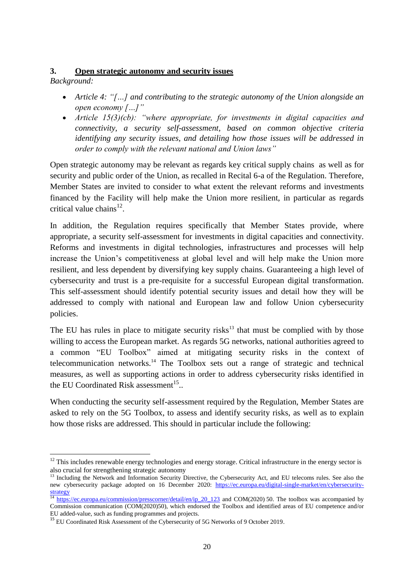## <span id="page-20-0"></span>**3. Open strategic autonomy and security issues**

*Background:* 

- *Article 4: "[…] and contributing to the strategic autonomy of the Union alongside an open economy […]"*
- *Article 15(3)(cb): "where appropriate, for investments in digital capacities and connectivity, a security self-assessment, based on common objective criteria identifying any security issues, and detailing how those issues will be addressed in order to comply with the relevant national and Union laws"*

Open strategic autonomy may be relevant as regards key critical supply chains as well as for security and public order of the Union, as recalled in Recital 6-a of the Regulation. Therefore, Member States are invited to consider to what extent the relevant reforms and investments financed by the Facility will help make the Union more resilient, in particular as regards critical value chains $^{12}$ .

In addition, the Regulation requires specifically that Member States provide, where appropriate, a security self-assessment for investments in digital capacities and connectivity. Reforms and investments in digital technologies, infrastructures and processes will help increase the Union's competitiveness at global level and will help make the Union more resilient, and less dependent by diversifying key supply chains. Guaranteeing a high level of cybersecurity and trust is a pre-requisite for a successful European digital transformation. This self-assessment should identify potential security issues and detail how they will be addressed to comply with national and European law and follow Union cybersecurity policies.

The EU has rules in place to mitigate security risks<sup>13</sup> that must be complied with by those willing to access the European market. As regards 5G networks, national authorities agreed to a common "EU Toolbox" aimed at mitigating security risks in the context of telecommunication networks. <sup>14</sup> The Toolbox sets out a range of strategic and technical measures, as well as supporting actions in order to address cybersecurity risks identified in the EU Coordinated Risk assessment<sup>15</sup>...

When conducting the security self-assessment required by the Regulation, Member States are asked to rely on the 5G Toolbox, to assess and identify security risks, as well as to explain how those risks are addressed. This should in particular include the following:

**<sup>.</sup>**  $12$  This includes renewable energy technologies and energy storage. Critical infrastructure in the energy sector is also crucial for strengthening strategic autonomy

<sup>&</sup>lt;sup>13</sup> Including the Network and Information Security Directive, the Cybersecurity Act, and EU telecoms rules. See also the new cybersecurity package adopted on 16 December 2020: [https://ec.europa.eu/digital-single-market/en/cybersecurity](https://ec.europa.eu/digital-single-market/en/cybersecurity-strategy)[strategy](https://ec.europa.eu/digital-single-market/en/cybersecurity-strategy) 

<sup>&</sup>lt;sup>14</sup> [https://ec.europa.eu/commission/presscorner/detail/en/ip\\_20\\_123](https://ec.europa.eu/commission/presscorner/detail/en/ip_20_123) and COM(2020) 50. The toolbox was accompanied by Commission communication (COM(2020)50), which endorsed the Toolbox and identified areas of EU competence and/or EU added-value, such as funding programmes and projects.

<sup>&</sup>lt;sup>15</sup> EU Coordinated Risk Assessment of the Cybersecurity of 5G Networks of 9 October 2019.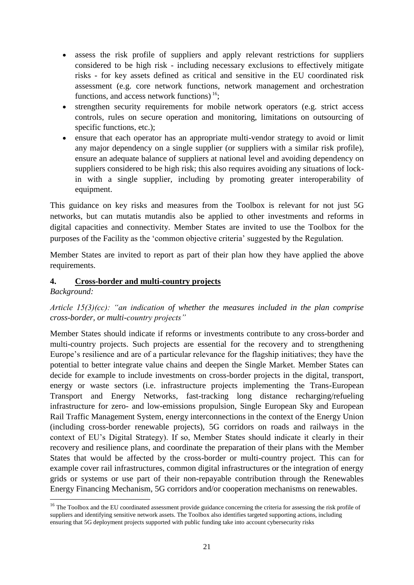- assess the risk profile of suppliers and apply relevant restrictions for suppliers considered to be high risk - including necessary exclusions to effectively mitigate risks - for key assets defined as critical and sensitive in the EU coordinated risk assessment (e.g. core network functions, network management and orchestration functions, and access network functions)  $16$ ;
- strengthen security requirements for mobile network operators (e.g. strict access controls, rules on secure operation and monitoring, limitations on outsourcing of specific functions, etc.);
- ensure that each operator has an appropriate multi-vendor strategy to avoid or limit any major dependency on a single supplier (or suppliers with a similar risk profile), ensure an adequate balance of suppliers at national level and avoiding dependency on suppliers considered to be high risk; this also requires avoiding any situations of lockin with a single supplier, including by promoting greater interoperability of equipment.

This guidance on key risks and measures from the Toolbox is relevant for not just 5G networks, but can mutatis mutandis also be applied to other investments and reforms in digital capacities and connectivity. Member States are invited to use the Toolbox for the purposes of the Facility as the 'common objective criteria' suggested by the Regulation.

Member States are invited to report as part of their plan how they have applied the above requirements.

#### <span id="page-21-0"></span>**4. Cross-border and multi-country projects**

#### *Background:*

**.** 

## *Article 15(3)(cc): "an indication of whether the measures included in the plan comprise cross-border, or multi-country projects"*

Member States should indicate if reforms or investments contribute to any cross-border and multi-country projects. Such projects are essential for the recovery and to strengthening Europe's resilience and are of a particular relevance for the flagship initiatives; they have the potential to better integrate value chains and deepen the Single Market. Member States can decide for example to include investments on cross-border projects in the digital, transport, energy or waste sectors (i.e. infrastructure projects implementing the Trans-European Transport and Energy Networks, fast-tracking long distance recharging/refueling infrastructure for zero- and low-emissions propulsion, Single European Sky and European Rail Traffic Management System, energy interconnections in the context of the Energy Union (including cross-border renewable projects), 5G corridors on roads and railways in the context of EU's Digital Strategy). If so, Member States should indicate it clearly in their recovery and resilience plans, and coordinate the preparation of their plans with the Member States that would be affected by the cross-border or multi-country project. This can for example cover rail infrastructures, common digital infrastructures or the integration of energy grids or systems or use part of their non-repayable contribution through the Renewables Energy Financing Mechanism, 5G corridors and/or cooperation mechanisms on renewables.

<sup>&</sup>lt;sup>16</sup> The Toolbox and the EU coordinated assessment provide guidance concerning the criteria for assessing the risk profile of suppliers and identifying sensitive network assets. The Toolbox also identifies targeted supporting actions, including ensuring that 5G deployment projects supported with public funding take into account cybersecurity risks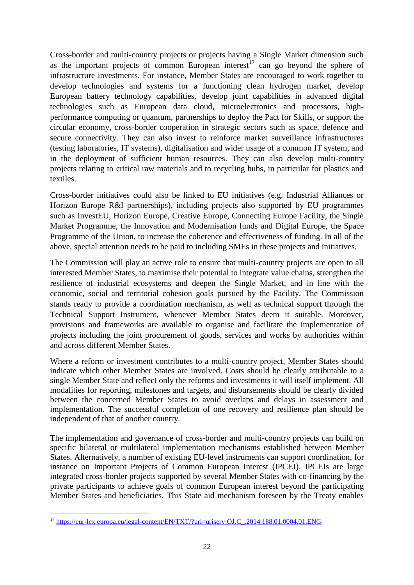Cross-border and multi-country projects or projects having a Single Market dimension such as the important projects of common European interest<sup>17</sup> can go beyond the sphere of infrastructure investments. For instance, Member States are encouraged to work together to develop technologies and systems for a functioning clean hydrogen market, develop European battery technology capabilities, develop joint capabilities in advanced digital technologies such as European data cloud, microelectronics and processors, highperformance computing or quantum, partnerships to deploy the Pact for Skills, or support the circular economy, cross-border cooperation in strategic sectors such as space, defence and secure connectivity. They can also invest to reinforce market surveillance infrastructures (testing laboratories, IT systems), digitalisation and wider usage of a common IT system, and in the deployment of sufficient human resources. They can also develop multi-country projects relating to critical raw materials and to recycling hubs, in particular for plastics and textiles.

Cross-border initiatives could also be linked to EU initiatives (e.g. Industrial Alliances or Horizon Europe R&I partnerships), including projects also supported by EU programmes such as InvestEU, Horizon Europe, Creative Europe, Connecting Europe Facility, the Single Market Programme, the Innovation and Modernisation funds and Digital Europe, the Space Programme of the Union, to increase the coherence and effectiveness of funding. In all of the above, special attention needs to be paid to including SMEs in these projects and initiatives.

The Commission will play an active role to ensure that multi-country projects are open to all interested Member States, to maximise their potential to integrate value chains, strengthen the resilience of industrial ecosystems and deepen the Single Market, and in line with the economic, social and territorial cohesion goals pursued by the Facility. The Commission stands ready to provide a coordination mechanism, as well as technical support through the Technical Support Instrument, whenever Member States deem it suitable. Moreover, provisions and frameworks are available to organise and facilitate the implementation of projects including the joint procurement of goods, services and works by authorities within and across different Member States.

Where a reform or investment contributes to a multi-country project, Member States should indicate which other Member States are involved. Costs should be clearly attributable to a single Member State and reflect only the reforms and investments it will itself implement. All modalities for reporting, milestones and targets, and disbursements should be clearly divided between the concerned Member States to avoid overlaps and delays in assessment and implementation. The successful completion of one recovery and resilience plan should be independent of that of another country.

The implementation and governance of cross-border and multi-country projects can build on specific bilateral or multilateral implementation mechanisms established between Member States. Alternatively, a number of existing EU-level instruments can support coordination, for instance on Important Projects of Common European Interest (IPCEI). IPCEIs are large integrated cross-border projects supported by several Member States with co-financing by the private participants to achieve goals of common European interest beyond the participating Member States and beneficiaries. This State aid mechanism foreseen by the Treaty enables

**<sup>.</sup>** <sup>17</sup> [https://eur-lex.europa.eu/legal-content/EN/TXT/?uri=uriserv:OJ.C\\_.2014.188.01.0004.01.ENG](https://eur-lex.europa.eu/legal-content/EN/TXT/?uri=uriserv:OJ.C_.2014.188.01.0004.01.ENG)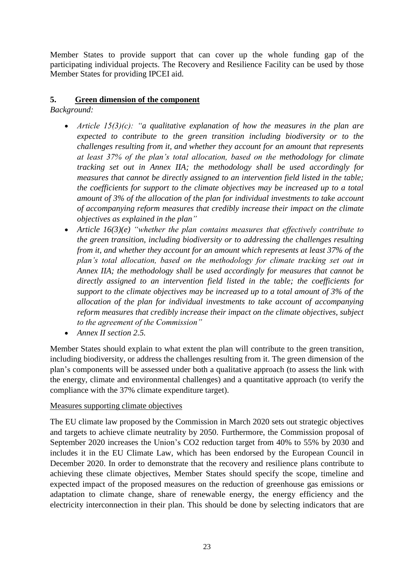Member States to provide support that can cover up the whole funding gap of the participating individual projects. The Recovery and Resilience Facility can be used by those Member States for providing IPCEI aid.

## <span id="page-23-0"></span>**5. Green dimension of the component**

*Background:*

- *Article 15(3)(c): "a qualitative explanation of how the measures in the plan are expected to contribute to the green transition including biodiversity or to the challenges resulting from it, and whether they account for an amount that represents at least 37% of the plan's total allocation, based on the methodology for climate tracking set out in Annex IIA; the methodology shall be used accordingly for measures that cannot be directly assigned to an intervention field listed in the table; the coefficients for support to the climate objectives may be increased up to a total amount of 3% of the allocation of the plan for individual investments to take account of accompanying reform measures that credibly increase their impact on the climate objectives as explained in the plan"*
- *Article 16(3)(e) "whether the plan contains measures that effectively contribute to the green transition, including biodiversity or to addressing the challenges resulting from it, and whether they account for an amount which represents at least 37% of the plan's total allocation, based on the methodology for climate tracking set out in Annex IIA; the methodology shall be used accordingly for measures that cannot be directly assigned to an intervention field listed in the table; the coefficients for support to the climate objectives may be increased up to a total amount of 3% of the allocation of the plan for individual investments to take account of accompanying reform measures that credibly increase their impact on the climate objectives, subject to the agreement of the Commission"*
- *Annex II section 2.5.*

Member States should explain to what extent the plan will contribute to the green transition, including biodiversity, or address the challenges resulting from it. The green dimension of the plan's components will be assessed under both a qualitative approach (to assess the link with the energy, climate and environmental challenges) and a quantitative approach (to verify the compliance with the 37% climate expenditure target).

#### Measures supporting climate objectives

The EU climate law proposed by the Commission in March 2020 sets out strategic objectives and targets to achieve climate neutrality by 2050. Furthermore, the Commission proposal of September 2020 increases the Union's CO2 reduction target from 40% to 55% by 2030 and includes it in the EU Climate Law, which has been endorsed by the European Council in December 2020. In order to demonstrate that the recovery and resilience plans contribute to achieving these climate objectives, Member States should specify the scope, timeline and expected impact of the proposed measures on the reduction of greenhouse gas emissions or adaptation to climate change, share of renewable energy, the energy efficiency and the electricity interconnection in their plan. This should be done by selecting indicators that are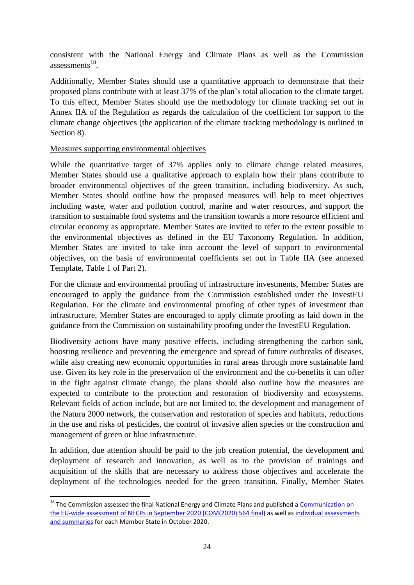consistent with the National Energy and Climate Plans as well as the Commission assessments $^{18}$ .

Additionally, Member States should use a quantitative approach to demonstrate that their proposed plans contribute with at least 37% of the plan's total allocation to the climate target. To this effect, Member States should use the methodology for climate tracking set out in Annex IIA of the Regulation as regards the calculation of the coefficient for support to the climate change objectives (the application of the climate tracking methodology is outlined in Section 8).

#### Measures supporting environmental objectives

**.** 

While the quantitative target of 37% applies only to climate change related measures, Member States should use a qualitative approach to explain how their plans contribute to broader environmental objectives of the green transition, including biodiversity. As such, Member States should outline how the proposed measures will help to meet objectives including waste, water and pollution control, marine and water resources, and support the transition to sustainable food systems and the transition towards a more resource efficient and circular economy as appropriate. Member States are invited to refer to the extent possible to the environmental objectives as defined in the EU Taxonomy Regulation. In addition, Member States are invited to take into account the level of support to environmental objectives, on the basis of environmental coefficients set out in Table IIA (see annexed Template, Table 1 of Part 2).

For the climate and environmental proofing of infrastructure investments, Member States are encouraged to apply the guidance from the Commission established under the InvestEU Regulation. For the climate and environmental proofing of other types of investment than infrastructure, Member States are encouraged to apply climate proofing as laid down in the guidance from the Commission on sustainability proofing under the InvestEU Regulation.

Biodiversity actions have many positive effects, including strengthening the carbon sink, boosting resilience and preventing the emergence and spread of future outbreaks of diseases, while also creating new economic opportunities in rural areas through more sustainable land use. Given its key role in the preservation of the environment and the co-benefits it can offer in the fight against climate change, the plans should also outline how the measures are expected to contribute to the protection and restoration of biodiversity and ecosystems. Relevant fields of action include, but are not limited to, the development and management of the Natura 2000 network, the conservation and restoration of species and habitats, reductions in the use and risks of pesticides, the control of invasive alien species or the construction and management of green or blue infrastructure.

In addition, due attention should be paid to the job creation potential, the development and deployment of research and innovation, as well as to the provision of trainings and acquisition of the skills that are necessary to address those objectives and accelerate the deployment of the technologies needed for the green transition. Finally, Member States

<sup>&</sup>lt;sup>18</sup> The Commission assessed the final National Energy and Climate Plans and published a *Communication on* [the EU-wide assessment of NECPs in September 2020 \(COM\(2020\) 564 final\)](https://eur-lex.europa.eu/legal-content/EN/TXT/?qid=1565713062913&uri=CELEX%3A52019DC0285) as well as [individual assessments](https://ec.europa.eu/energy/topics/energy-strategy/national-energy-climate-plans/individual-assessments-and-summaries)  [and summaries](https://ec.europa.eu/energy/topics/energy-strategy/national-energy-climate-plans/individual-assessments-and-summaries) for each Member State in October 2020.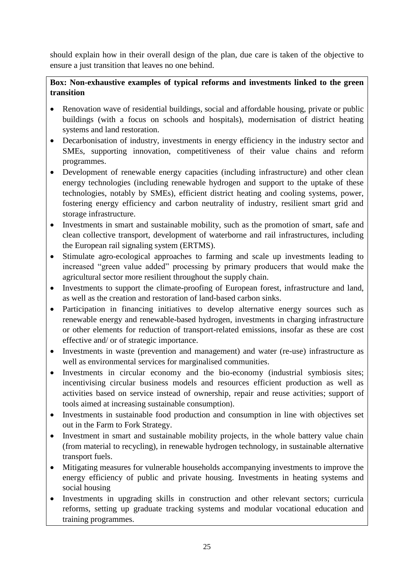should explain how in their overall design of the plan, due care is taken of the objective to ensure a just transition that leaves no one behind.

## **Box: Non-exhaustive examples of typical reforms and investments linked to the green transition**

- Renovation wave of residential buildings, social and affordable housing, private or public buildings (with a focus on schools and hospitals), modernisation of district heating systems and land restoration.
- Decarbonisation of industry, investments in energy efficiency in the industry sector and SMEs, supporting innovation, competitiveness of their value chains and reform programmes.
- Development of renewable energy capacities (including infrastructure) and other clean energy technologies (including renewable hydrogen and support to the uptake of these technologies, notably by SMEs), efficient district heating and cooling systems, power, fostering energy efficiency and carbon neutrality of industry, resilient smart grid and storage infrastructure.
- Investments in smart and sustainable mobility, such as the promotion of smart, safe and clean collective transport, development of waterborne and rail infrastructures, including the European rail signaling system (ERTMS).
- Stimulate agro-ecological approaches to farming and scale up investments leading to increased "green value added" processing by primary producers that would make the agricultural sector more resilient throughout the supply chain.
- Investments to support the climate-proofing of European forest, infrastructure and land, as well as the creation and restoration of land-based carbon sinks.
- Participation in financing initiatives to develop alternative energy sources such as renewable energy and renewable-based hydrogen, investments in charging infrastructure or other elements for reduction of transport-related emissions, insofar as these are cost effective and/ or of strategic importance.
- Investments in waste (prevention and management) and water (re-use) infrastructure as well as environmental services for marginalised communities.
- Investments in circular economy and the bio-economy (industrial symbiosis sites; incentivising circular business models and resources efficient production as well as activities based on service instead of ownership, repair and reuse activities; support of tools aimed at increasing sustainable consumption).
- Investments in sustainable food production and consumption in line with objectives set out in the Farm to Fork Strategy.
- Investment in smart and sustainable mobility projects, in the whole battery value chain (from material to recycling), in renewable hydrogen technology, in sustainable alternative transport fuels.
- Mitigating measures for vulnerable households accompanying investments to improve the energy efficiency of public and private housing. Investments in heating systems and social housing
- Investments in upgrading skills in construction and other relevant sectors; curricula reforms, setting up graduate tracking systems and modular vocational education and training programmes.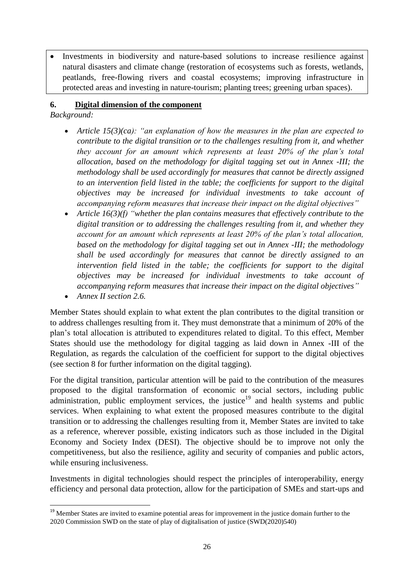Investments in biodiversity and nature-based solutions to increase resilience against natural disasters and climate change (restoration of ecosystems such as forests, wetlands, peatlands, free-flowing rivers and coastal ecosystems; improving infrastructure in protected areas and investing in nature-tourism; planting trees; greening urban spaces).

### <span id="page-26-0"></span>**6. Digital dimension of the component**

*Background:*

- *Article 15(3)(ca): "an explanation of how the measures in the plan are expected to contribute to the digital transition or to the challenges resulting from it, and whether they account for an amount which represents at least 20% of the plan's total allocation, based on the methodology for digital tagging set out in Annex -III; the methodology shall be used accordingly for measures that cannot be directly assigned to an intervention field listed in the table; the coefficients for support to the digital objectives may be increased for individual investments to take account of accompanying reform measures that increase their impact on the digital objectives"*
- *Article 16(3)(f) "whether the plan contains measures that effectively contribute to the digital transition or to addressing the challenges resulting from it, and whether they account for an amount which represents at least 20% of the plan's total allocation, based on the methodology for digital tagging set out in Annex -III; the methodology shall be used accordingly for measures that cannot be directly assigned to an intervention field listed in the table; the coefficients for support to the digital objectives may be increased for individual investments to take account of accompanying reform measures that increase their impact on the digital objectives"*
- *Annex II section 2.6.*

1

Member States should explain to what extent the plan contributes to the digital transition or to address challenges resulting from it. They must demonstrate that a minimum of 20% of the plan's total allocation is attributed to expenditures related to digital. To this effect, Member States should use the methodology for digital tagging as laid down in Annex -III of the Regulation, as regards the calculation of the coefficient for support to the digital objectives (see section 8 for further information on the digital tagging).

For the digital transition, particular attention will be paid to the contribution of the measures proposed to the digital transformation of economic or social sectors, including public administration, public employment services, the justice<sup>19</sup> and health systems and public services. When explaining to what extent the proposed measures contribute to the digital transition or to addressing the challenges resulting from it, Member States are invited to take as a reference, wherever possible, existing indicators such as those included in the Digital Economy and Society Index [\(DESI\)](https://ec.europa.eu/digital-single-market/en/countries-performance-digitisation). The objective should be to improve not only the competitiveness, but also the resilience, agility and security of companies and public actors, while ensuring inclusiveness.

Investments in digital technologies should respect the principles of interoperability, energy efficiency and personal data protection, allow for the participation of SMEs and start-ups and

<sup>&</sup>lt;sup>19</sup> Member States are invited to examine potential areas for improvement in the justice domain further to the 2020 Commission SWD on the state of play of digitalisation of justice (SWD(2020)540)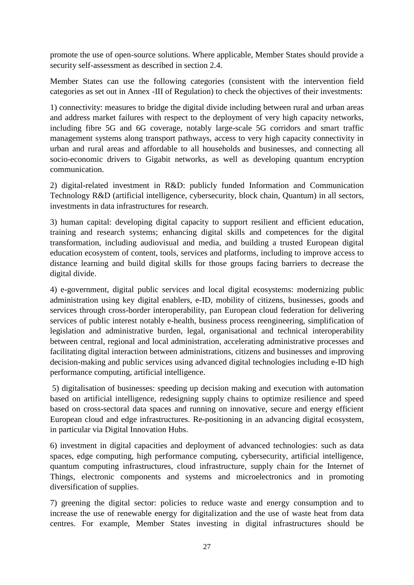promote the use of open-source solutions. Where applicable, Member States should provide a security self-assessment as described in section 2.4.

Member States can use the following categories (consistent with the intervention field categories as set out in Annex -III of Regulation) to check the objectives of their investments:

1) connectivity: measures to bridge the digital divide including between rural and urban areas and address market failures with respect to the deployment of very high capacity networks, including fibre 5G and 6G coverage, notably large-scale 5G corridors and smart traffic management systems along transport pathways, access to very high capacity connectivity in urban and rural areas and affordable to all households and businesses, and connecting all socio-economic drivers to Gigabit networks, as well as developing quantum encryption communication.

2) digital-related investment in R&D: publicly funded Information and Communication Technology R&D (artificial intelligence, cybersecurity, block chain, Quantum) in all sectors, investments in data infrastructures for research.

3) human capital: developing digital capacity to support resilient and efficient education, training and research systems; enhancing digital skills and competences for the digital transformation, including audiovisual and media, and building a trusted European digital education ecosystem of content, tools, services and platforms, including to improve access to distance learning and build digital skills for those groups facing barriers to decrease the digital divide.

4) e-government, digital public services and local digital ecosystems: modernizing public administration using key digital enablers, e-ID, mobility of citizens, businesses, goods and services through cross-border interoperability, pan European cloud federation for delivering services of public interest notably e-health, business process reengineering, simplification of legislation and administrative burden, legal, organisational and technical interoperability between central, regional and local administration, accelerating administrative processes and facilitating digital interaction between administrations, citizens and businesses and improving decision-making and public services using advanced digital technologies including e-ID high performance computing, artificial intelligence.

5) digitalisation of businesses: speeding up decision making and execution with automation based on artificial intelligence, redesigning supply chains to optimize resilience and speed based on cross-sectoral data spaces and running on innovative, secure and energy efficient European cloud and edge infrastructures. Re-positioning in an advancing digital ecosystem, in particular via Digital Innovation Hubs.

6) investment in digital capacities and deployment of advanced technologies: such as data spaces, edge computing, high performance computing, cybersecurity, artificial intelligence, quantum computing infrastructures, cloud infrastructure, supply chain for the Internet of Things, electronic components and systems and microelectronics and in promoting diversification of supplies.

7) greening the digital sector: policies to reduce waste and energy consumption and to increase the use of renewable energy for digitalization and the use of waste heat from data centres. For example, Member States investing in digital infrastructures should be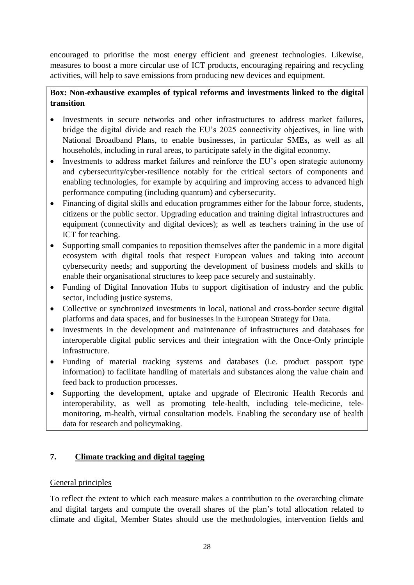encouraged to prioritise the most energy efficient and greenest technologies. Likewise, measures to boost a more circular use of ICT products, encouraging repairing and recycling activities, will help to save emissions from producing new devices and equipment.

## **Box: Non-exhaustive examples of typical reforms and investments linked to the digital transition**

- Investments in secure networks and other infrastructures to address market failures, bridge the digital divide and reach the EU's 2025 connectivity objectives, in line with National Broadband Plans, to enable businesses, in particular SMEs, as well as all households, including in rural areas, to participate safely in the digital economy.
- Investments to address market failures and reinforce the EU's open strategic autonomy and cybersecurity/cyber-resilience notably for the critical sectors of components and enabling technologies, for example by acquiring and improving access to advanced high performance computing (including quantum) and cybersecurity.
- Financing of digital skills and education programmes either for the labour force, students, citizens or the public sector. Upgrading education and training digital infrastructures and equipment (connectivity and digital devices); as well as teachers training in the use of ICT for teaching.
- Supporting small companies to reposition themselves after the pandemic in a more digital ecosystem with digital tools that respect European values and taking into account cybersecurity needs; and supporting the development of business models and skills to enable their organisational structures to keep pace securely and sustainably.
- Funding of Digital Innovation Hubs to support digitisation of industry and the public sector, including justice systems.
- Collective or synchronized investments in local, national and cross-border secure digital platforms and data spaces, and for businesses in the European Strategy for Data.
- Investments in the development and maintenance of infrastructures and databases for interoperable digital public services and their integration with the Once-Only principle infrastructure.
- Funding of material tracking systems and databases (i.e. product passport type information) to facilitate handling of materials and substances along the value chain and feed back to production processes.
- Supporting the development, uptake and upgrade of Electronic Health Records and interoperability, as well as promoting tele-health, including tele-medicine, telemonitoring, m-health, virtual consultation models. Enabling the secondary use of health data for research and policymaking.

## <span id="page-28-0"></span>**7. Climate tracking and digital tagging**

## General principles

To reflect the extent to which each measure makes a contribution to the overarching climate and digital targets and compute the overall shares of the plan's total allocation related to climate and digital, Member States should use the methodologies, intervention fields and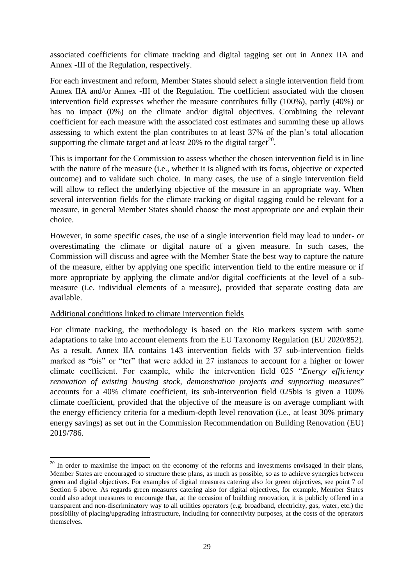associated coefficients for climate tracking and digital tagging set out in Annex IIA and Annex -III of the Regulation, respectively.

For each investment and reform, Member States should select a single intervention field from Annex IIA and/or Annex -III of the Regulation. The coefficient associated with the chosen intervention field expresses whether the measure contributes fully (100%), partly (40%) or has no impact (0%) on the climate and/or digital objectives. Combining the relevant coefficient for each measure with the associated cost estimates and summing these up allows assessing to which extent the plan contributes to at least 37% of the plan's total allocation supporting the climate target and at least 20% to the digital target<sup>20</sup>.

This is important for the Commission to assess whether the chosen intervention field is in line with the nature of the measure (i.e., whether it is aligned with its focus, objective or expected outcome) and to validate such choice. In many cases, the use of a single intervention field will allow to reflect the underlying objective of the measure in an appropriate way. When several intervention fields for the climate tracking or digital tagging could be relevant for a measure, in general Member States should choose the most appropriate one and explain their choice.

However, in some specific cases, the use of a single intervention field may lead to under- or overestimating the climate or digital nature of a given measure. In such cases, the Commission will discuss and agree with the Member State the best way to capture the nature of the measure, either by applying one specific intervention field to the entire measure or if more appropriate by applying the climate and/or digital coefficients at the level of a submeasure (i.e. individual elements of a measure), provided that separate costing data are available.

#### Additional conditions linked to climate intervention fields

1

For climate tracking, the methodology is based on the Rio markers system with some adaptations to take into account elements from the EU Taxonomy Regulation (EU 2020/852). As a result, Annex IIA contains 143 intervention fields with 37 sub-intervention fields marked as "bis" or "ter" that were added in 27 instances to account for a higher or lower climate coefficient. For example, while the intervention field 025 "*Energy efficiency renovation of existing housing stock, demonstration projects and supporting measures*" accounts for a 40% climate coefficient, its sub-intervention field 025bis is given a 100% climate coefficient, provided that the objective of the measure is on average compliant with the energy efficiency criteria for a medium-depth level renovation (i.e., at least 30% primary energy savings) as set out in the Commission Recommendation on Building Renovation (EU) 2019/786.

<sup>&</sup>lt;sup>20</sup> In order to maximise the impact on the economy of the reforms and investments envisaged in their plans, Member States are encouraged to structure these plans, as much as possible, so as to achieve synergies between green and digital objectives. For examples of digital measures catering also for green objectives, see point 7 of Section 6 above. As regards green measures catering also for digital objectives, for example, Member States could also adopt measures to encourage that, at the occasion of building renovation, it is publicly offered in a transparent and non-discriminatory way to all utilities operators (e.g. broadband, electricity, gas, water, etc.) the possibility of placing/upgrading infrastructure, including for connectivity purposes, at the costs of the operators themselves.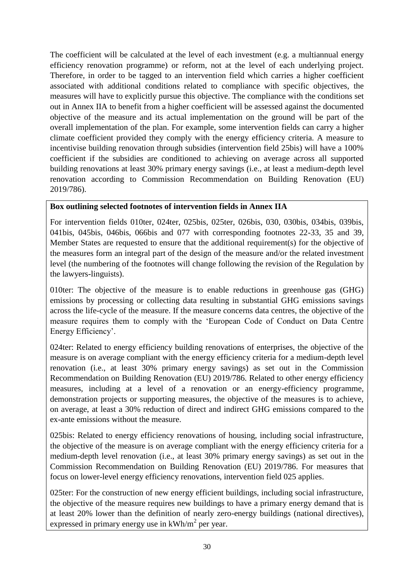The coefficient will be calculated at the level of each investment (e.g. a multiannual energy efficiency renovation programme) or reform, not at the level of each underlying project. Therefore, in order to be tagged to an intervention field which carries a higher coefficient associated with additional conditions related to compliance with specific objectives, the measures will have to explicitly pursue this objective. The compliance with the conditions set out in Annex IIA to benefit from a higher coefficient will be assessed against the documented objective of the measure and its actual implementation on the ground will be part of the overall implementation of the plan. For example, some intervention fields can carry a higher climate coefficient provided they comply with the energy efficiency criteria. A measure to incentivise building renovation through subsidies (intervention field 25bis) will have a 100% coefficient if the subsidies are conditioned to achieving on average across all supported building renovations at least 30% primary energy savings (i.e., at least a medium-depth level renovation according to Commission Recommendation on Building Renovation (EU) 2019/786).

## **Box outlining selected footnotes of intervention fields in Annex IIA**

For intervention fields 010ter, 024ter, 025bis, 025ter, 026bis, 030, 030bis, 034bis, 039bis, 041bis, 045bis, 046bis, 066bis and 077 with corresponding footnotes 22-33, 35 and 39, Member States are requested to ensure that the additional requirement(s) for the objective of the measures form an integral part of the design of the measure and/or the related investment level (the numbering of the footnotes will change following the revision of the Regulation by the lawyers-linguists).

010ter: The objective of the measure is to enable reductions in greenhouse gas (GHG) emissions by processing or collecting data resulting in substantial GHG emissions savings across the life-cycle of the measure. If the measure concerns data centres, the objective of the measure requires them to comply with the 'European Code of Conduct on Data Centre Energy Efficiency'.

024ter: Related to energy efficiency building renovations of enterprises, the objective of the measure is on average compliant with the energy efficiency criteria for a medium-depth level renovation (i.e., at least 30% primary energy savings) as set out in the Commission Recommendation on Building Renovation (EU) 2019/786. Related to other energy efficiency measures, including at a level of a renovation or an energy-efficiency programme, demonstration projects or supporting measures, the objective of the measures is to achieve, on average, at least a 30% reduction of direct and indirect GHG emissions compared to the ex-ante emissions without the measure.

025bis: Related to energy efficiency renovations of housing, including social infrastructure, the objective of the measure is on average compliant with the energy efficiency criteria for a medium-depth level renovation (i.e., at least 30% primary energy savings) as set out in the Commission Recommendation on Building Renovation (EU) 2019/786. For measures that focus on lower-level energy efficiency renovations, intervention field 025 applies.

025ter: For the construction of new energy efficient buildings, including social infrastructure, the objective of the measure requires new buildings to have a primary energy demand that is at least 20% lower than the definition of nearly zero-energy buildings (national directives), expressed in primary energy use in  $kWh/m^2$  per year.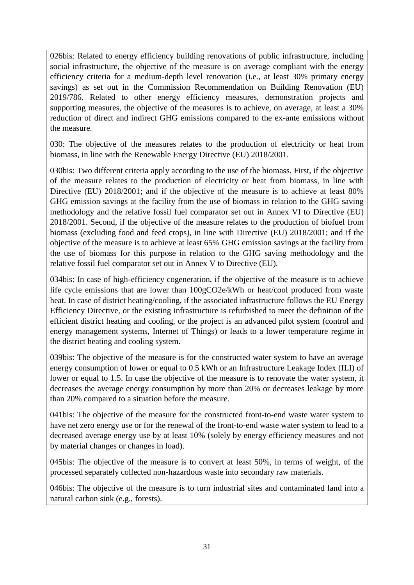026bis: Related to energy efficiency building renovations of public infrastructure, including social infrastructure, the objective of the measure is on average compliant with the energy efficiency criteria for a medium-depth level renovation (i.e., at least 30% primary energy savings) as set out in the Commission Recommendation on Building Renovation (EU) 2019/786. Related to other energy efficiency measures, demonstration projects and supporting measures, the objective of the measures is to achieve, on average, at least a 30% reduction of direct and indirect GHG emissions compared to the ex-ante emissions without the measure.

030: The objective of the measures relates to the production of electricity or heat from biomass, in line with the Renewable Energy Directive (EU) 2018/2001.

030bis: Two different criteria apply according to the use of the biomass. First, if the objective of the measure relates to the production of electricity or heat from biomass, in line with Directive (EU) 2018/2001; and if the objective of the measure is to achieve at least 80% GHG emission savings at the facility from the use of biomass in relation to the GHG saving methodology and the relative fossil fuel comparator set out in Annex VI to Directive (EU) 2018/2001. Second, if the objective of the measure relates to the production of biofuel from biomass (excluding food and feed crops), in line with Directive (EU) 2018/2001; and if the objective of the measure is to achieve at least 65% GHG emission savings at the facility from the use of biomass for this purpose in relation to the GHG saving methodology and the relative fossil fuel comparator set out in Annex V to Directive (EU).

034bis: In case of high-efficiency cogeneration, if the objective of the measure is to achieve life cycle emissions that are lower than 100gCO2e/kWh or heat/cool produced from waste heat. In case of district heating/cooling, if the associated infrastructure follows the EU Energy Efficiency Directive, or the existing infrastructure is refurbished to meet the definition of the efficient district heating and cooling, or the project is an advanced pilot system (control and energy management systems, Internet of Things) or leads to a lower temperature regime in the district heating and cooling system.

039bis: The objective of the measure is for the constructed water system to have an average energy consumption of lower or equal to 0.5 kWh or an Infrastructure Leakage Index (ILI) of lower or equal to 1.5. In case the objective of the measure is to renovate the water system, it decreases the average energy consumption by more than 20% or decreases leakage by more than 20% compared to a situation before the measure.

041bis: The objective of the measure for the constructed front-to-end waste water system to have net zero energy use or for the renewal of the front-to-end waste water system to lead to a decreased average energy use by at least 10% (solely by energy efficiency measures and not by material changes or changes in load).

045bis: The objective of the measure is to convert at least 50%, in terms of weight, of the processed separately collected non-hazardous waste into secondary raw materials.

046bis: The objective of the measure is to turn industrial sites and contaminated land into a natural carbon sink (e.g., forests).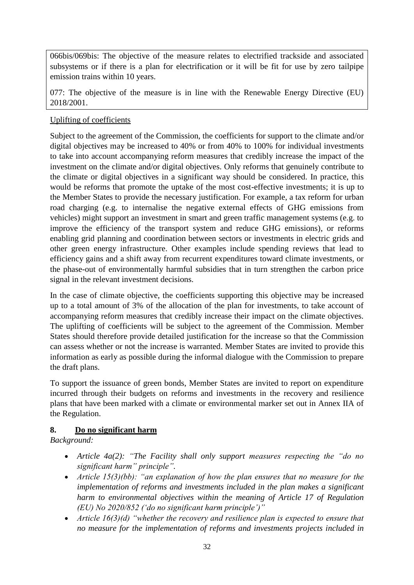066bis/069bis: The objective of the measure relates to electrified trackside and associated subsystems or if there is a plan for electrification or it will be fit for use by zero tailpipe emission trains within 10 years.

077: The objective of the measure is in line with the Renewable Energy Directive (EU) 2018/2001.

## Uplifting of coefficients

Subject to the agreement of the Commission, the coefficients for support to the climate and/or digital objectives may be increased to 40% or from 40% to 100% for individual investments to take into account accompanying reform measures that credibly increase the impact of the investment on the climate and/or digital objectives. Only reforms that genuinely contribute to the climate or digital objectives in a significant way should be considered. In practice, this would be reforms that promote the uptake of the most cost-effective investments; it is up to the Member States to provide the necessary justification. For example, a tax reform for urban road charging (e.g. to internalise the negative external effects of GHG emissions from vehicles) might support an investment in smart and green traffic management systems (e.g. to improve the efficiency of the transport system and reduce GHG emissions), or reforms enabling grid planning and coordination between sectors or investments in electric grids and other green energy infrastructure. Other examples include spending reviews that lead to efficiency gains and a shift away from recurrent expenditures toward climate investments, or the phase-out of environmentally harmful subsidies that in turn strengthen the carbon price signal in the relevant investment decisions.

In the case of climate objective, the coefficients supporting this objective may be increased up to a total amount of 3% of the allocation of the plan for investments, to take account of accompanying reform measures that credibly increase their impact on the climate objectives. The uplifting of coefficients will be subject to the agreement of the Commission. Member States should therefore provide detailed justification for the increase so that the Commission can assess whether or not the increase is warranted. Member States are invited to provide this information as early as possible during the informal dialogue with the Commission to prepare the draft plans.

To support the issuance of green bonds, Member States are invited to report on expenditure incurred through their budgets on reforms and investments in the recovery and resilience plans that have been marked with a climate or environmental marker set out in Annex IIA of the Regulation.

## <span id="page-32-0"></span>**8. Do no significant harm**

*Background:*

- *Article 4a(2): "The Facility shall only support measures respecting the "do no significant harm" principle".*
- *Article 15(3)(bb): "an explanation of how the plan ensures that no measure for the implementation of reforms and investments included in the plan makes a significant harm to environmental objectives within the meaning of Article 17 of Regulation (EU) No 2020/852 ('do no significant harm principle')"*
- *Article 16(3)(d) "whether the recovery and resilience plan is expected to ensure that no measure for the implementation of reforms and investments projects included in*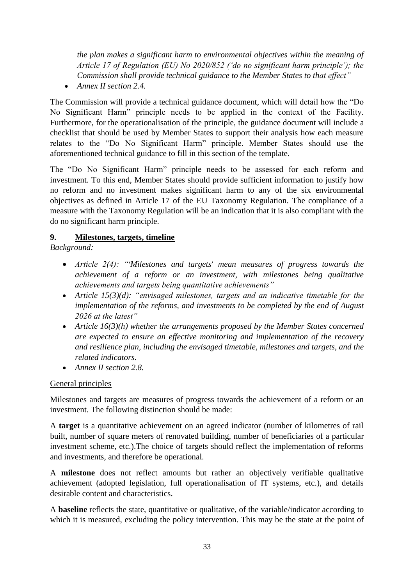*the plan makes a significant harm to environmental objectives within the meaning of Article 17 of Regulation (EU) No 2020/852 ('do no significant harm principle'); the Commission shall provide technical guidance to the Member States to that effect"*

*Annex II section 2.4.*

The Commission will provide a technical guidance document, which will detail how the "Do No Significant Harm" principle needs to be applied in the context of the Facility. Furthermore, for the operationalisation of the principle, the guidance document will include a checklist that should be used by Member States to support their analysis how each measure relates to the "Do No Significant Harm" principle. Member States should use the aforementioned technical guidance to fill in this section of the template.

The "Do No Significant Harm" principle needs to be assessed for each reform and investment. To this end, Member States should provide sufficient information to justify how no reform and no investment makes significant harm to any of the six environmental objectives as defined in Article 17 of the EU Taxonomy Regulation. The compliance of a measure with the Taxonomy Regulation will be an indication that it is also compliant with the do no significant harm principle.

## <span id="page-33-0"></span>**9. Milestones, targets, timeline**

*Background:* 

- *Article 2(4): "*'*Milestones and targets*' *mean measures of progress towards the achievement of a reform or an investment, with milestones being qualitative achievements and targets being quantitative achievements"*
- *Article 15(3)(d): "envisaged milestones, targets and an indicative timetable for the implementation of the reforms, and investments to be completed by the end of August 2026 at the latest"*
- *Article 16(3)(h) whether the arrangements proposed by the Member States concerned are expected to ensure an effective monitoring and implementation of the recovery and resilience plan, including the envisaged timetable, milestones and targets, and the related indicators.*
- *Annex II section 2.8.*

## General principles

Milestones and targets are measures of progress towards the achievement of a reform or an investment. The following distinction should be made:

A **target** is a quantitative achievement on an agreed indicator (number of kilometres of rail built, number of square meters of renovated building, number of beneficiaries of a particular investment scheme, etc.).The choice of targets should reflect the implementation of reforms and investments, and therefore be operational.

A **milestone** does not reflect amounts but rather an objectively verifiable qualitative achievement (adopted legislation, full operationalisation of IT systems, etc.), and details desirable content and characteristics.

A **baseline** reflects the state, quantitative or qualitative, of the variable/indicator according to which it is measured, excluding the policy intervention. This may be the state at the point of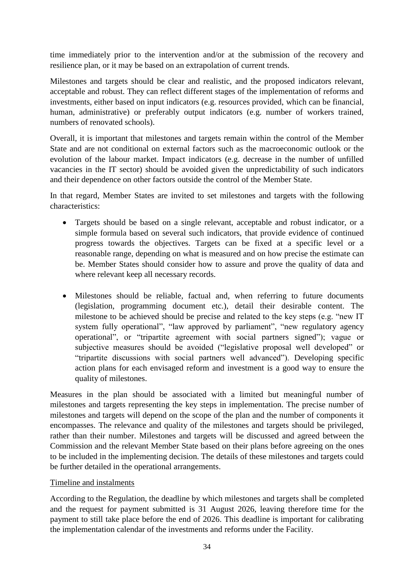time immediately prior to the intervention and/or at the submission of the recovery and resilience plan, or it may be based on an extrapolation of current trends.

Milestones and targets should be clear and realistic, and the proposed indicators relevant, acceptable and robust. They can reflect different stages of the implementation of reforms and investments, either based on input indicators (e.g. resources provided, which can be financial, human, administrative) or preferably output indicators (e.g. number of workers trained, numbers of renovated schools).

Overall, it is important that milestones and targets remain within the control of the Member State and are not conditional on external factors such as the macroeconomic outlook or the evolution of the labour market. Impact indicators (e.g. decrease in the number of unfilled vacancies in the IT sector) should be avoided given the unpredictability of such indicators and their dependence on other factors outside the control of the Member State.

In that regard, Member States are invited to set milestones and targets with the following characteristics:

- Targets should be based on a single relevant, acceptable and robust indicator, or a simple formula based on several such indicators, that provide evidence of continued progress towards the objectives. Targets can be fixed at a specific level or a reasonable range, depending on what is measured and on how precise the estimate can be. Member States should consider how to assure and prove the quality of data and where relevant keep all necessary records.
- Milestones should be reliable, factual and, when referring to future documents (legislation, programming document etc.), detail their desirable content. The milestone to be achieved should be precise and related to the key steps (e.g. "new IT system fully operational", "law approved by parliament", "new regulatory agency operational", or "tripartite agreement with social partners signed"); vague or subjective measures should be avoided ("legislative proposal well developed" or "tripartite discussions with social partners well advanced"). Developing specific action plans for each envisaged reform and investment is a good way to ensure the quality of milestones.

Measures in the plan should be associated with a limited but meaningful number of milestones and targets representing the key steps in implementation. The precise number of milestones and targets will depend on the scope of the plan and the number of components it encompasses. The relevance and quality of the milestones and targets should be privileged, rather than their number. Milestones and targets will be discussed and agreed between the Commission and the relevant Member State based on their plans before agreeing on the ones to be included in the implementing decision. The details of these milestones and targets could be further detailed in the operational arrangements.

#### Timeline and instalments

According to the Regulation, the deadline by which milestones and targets shall be completed and the request for payment submitted is 31 August 2026, leaving therefore time for the payment to still take place before the end of 2026. This deadline is important for calibrating the implementation calendar of the investments and reforms under the Facility.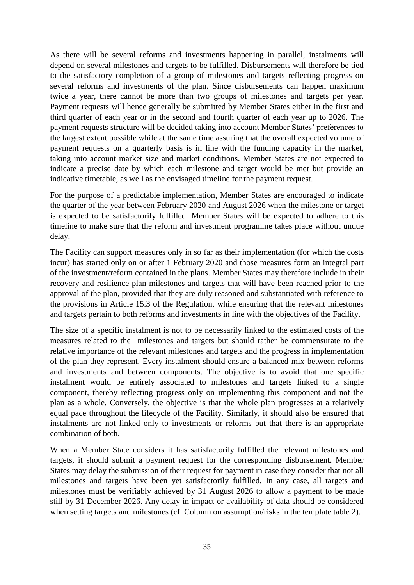As there will be several reforms and investments happening in parallel, instalments will depend on several milestones and targets to be fulfilled. Disbursements will therefore be tied to the satisfactory completion of a group of milestones and targets reflecting progress on several reforms and investments of the plan. Since disbursements can happen maximum twice a year, there cannot be more than two groups of milestones and targets per year. Payment requests will hence generally be submitted by Member States either in the first and third quarter of each year or in the second and fourth quarter of each year up to 2026. The payment requests structure will be decided taking into account Member States' preferences to the largest extent possible while at the same time assuring that the overall expected volume of payment requests on a quarterly basis is in line with the funding capacity in the market, taking into account market size and market conditions. Member States are not expected to indicate a precise date by which each milestone and target would be met but provide an indicative timetable, as well as the envisaged timeline for the payment request.

For the purpose of a predictable implementation, Member States are encouraged to indicate the quarter of the year between February 2020 and August 2026 when the milestone or target is expected to be satisfactorily fulfilled. Member States will be expected to adhere to this timeline to make sure that the reform and investment programme takes place without undue delay.

The Facility can support measures only in so far as their implementation (for which the costs incur) has started only on or after 1 February 2020 and those measures form an integral part of the investment/reform contained in the plans. Member States may therefore include in their recovery and resilience plan milestones and targets that will have been reached prior to the approval of the plan, provided that they are duly reasoned and substantiated with reference to the provisions in Article 15.3 of the Regulation, while ensuring that the relevant milestones and targets pertain to both reforms and investments in line with the objectives of the Facility.

The size of a specific instalment is not to be necessarily linked to the estimated costs of the measures related to the milestones and targets but should rather be commensurate to the relative importance of the relevant milestones and targets and the progress in implementation of the plan they represent. Every instalment should ensure a balanced mix between reforms and investments and between components. The objective is to avoid that one specific instalment would be entirely associated to milestones and targets linked to a single component, thereby reflecting progress only on implementing this component and not the plan as a whole. Conversely, the objective is that the whole plan progresses at a relatively equal pace throughout the lifecycle of the Facility. Similarly, it should also be ensured that instalments are not linked only to investments or reforms but that there is an appropriate combination of both.

When a Member State considers it has satisfactorily fulfilled the relevant milestones and targets, it should submit a payment request for the corresponding disbursement. Member States may delay the submission of their request for payment in case they consider that not all milestones and targets have been yet satisfactorily fulfilled. In any case, all targets and milestones must be verifiably achieved by 31 August 2026 to allow a payment to be made still by 31 December 2026. Any delay in impact or availability of data should be considered when setting targets and milestones (cf. Column on assumption/risks in the template table 2).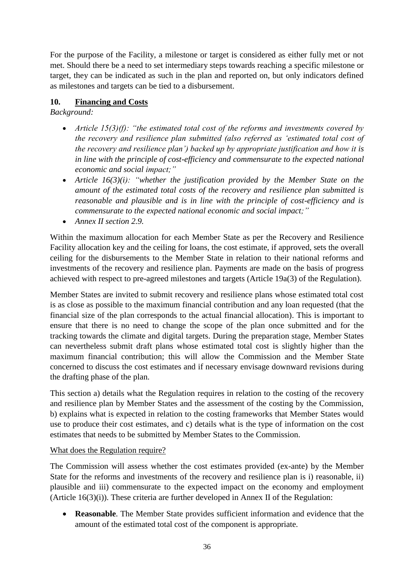For the purpose of the Facility, a milestone or target is considered as either fully met or not met. Should there be a need to set intermediary steps towards reaching a specific milestone or target, they can be indicated as such in the plan and reported on, but only indicators defined as milestones and targets can be tied to a disbursement.

## <span id="page-36-0"></span>**10. Financing and Costs**

*Background:* 

- *Article 15(3)(f): "the estimated total cost of the reforms and investments covered by the recovery and resilience plan submitted (also referred as 'estimated total cost of the recovery and resilience plan') backed up by appropriate justification and how it is in line with the principle of cost-efficiency and commensurate to the expected national economic and social impact;"*
- *Article 16(3)(i): "whether the justification provided by the Member State on the amount of the estimated total costs of the recovery and resilience plan submitted is reasonable and plausible and is in line with the principle of cost-efficiency and is commensurate to the expected national economic and social impact;"*
- *Annex II section 2.9.*

Within the maximum allocation for each Member State as per the Recovery and Resilience Facility allocation key and the ceiling for loans, the cost estimate, if approved, sets the overall ceiling for the disbursements to the Member State in relation to their national reforms and investments of the recovery and resilience plan. Payments are made on the basis of progress achieved with respect to pre-agreed milestones and targets (Article 19a(3) of the Regulation).

Member States are invited to submit recovery and resilience plans whose estimated total cost is as close as possible to the maximum financial contribution and any loan requested (that the financial size of the plan corresponds to the actual financial allocation). This is important to ensure that there is no need to change the scope of the plan once submitted and for the tracking towards the climate and digital targets. During the preparation stage, Member States can nevertheless submit draft plans whose estimated total cost is slightly higher than the maximum financial contribution; this will allow the Commission and the Member State concerned to discuss the cost estimates and if necessary envisage downward revisions during the drafting phase of the plan.

This section a) details what the Regulation requires in relation to the costing of the recovery and resilience plan by Member States and the assessment of the costing by the Commission, b) explains what is expected in relation to the costing frameworks that Member States would use to produce their cost estimates, and c) details what is the type of information on the cost estimates that needs to be submitted by Member States to the Commission.

## What does the Regulation require?

The Commission will assess whether the cost estimates provided (ex-ante) by the Member State for the reforms and investments of the recovery and resilience plan is i) reasonable, ii) plausible and iii) commensurate to the expected impact on the economy and employment (Article 16(3)(i)). These criteria are further developed in Annex II of the Regulation:

 **Reasonable**. The Member State provides sufficient information and evidence that the amount of the estimated total cost of the component is appropriate.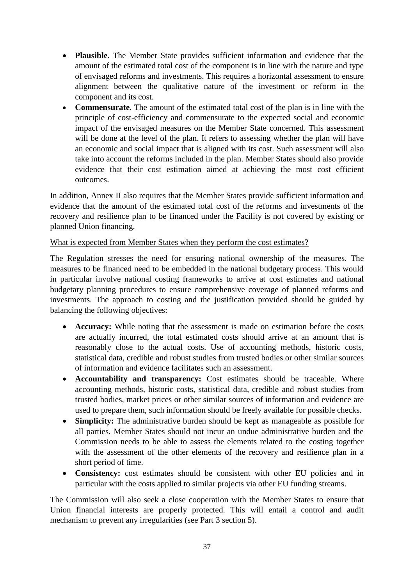- **Plausible**. The Member State provides sufficient information and evidence that the amount of the estimated total cost of the component is in line with the nature and type of envisaged reforms and investments. This requires a horizontal assessment to ensure alignment between the qualitative nature of the investment or reform in the component and its cost.
- **Commensurate**. The amount of the estimated total cost of the plan is in line with the principle of cost-efficiency and commensurate to the expected social and economic impact of the envisaged measures on the Member State concerned. This assessment will be done at the level of the plan. It refers to assessing whether the plan will have an economic and social impact that is aligned with its cost. Such assessment will also take into account the reforms included in the plan. Member States should also provide evidence that their cost estimation aimed at achieving the most cost efficient outcomes.

In addition, Annex II also requires that the Member States provide sufficient information and evidence that the amount of the estimated total cost of the reforms and investments of the recovery and resilience plan to be financed under the Facility is not covered by existing or planned Union financing.

#### What is expected from Member States when they perform the cost estimates?

The Regulation stresses the need for ensuring national ownership of the measures. The measures to be financed need to be embedded in the national budgetary process. This would in particular involve national costing frameworks to arrive at cost estimates and national budgetary planning procedures to ensure comprehensive coverage of planned reforms and investments. The approach to costing and the justification provided should be guided by balancing the following objectives:

- **Accuracy:** While noting that the assessment is made on estimation before the costs are actually incurred, the total estimated costs should arrive at an amount that is reasonably close to the actual costs. Use of accounting methods, historic costs, statistical data, credible and robust studies from trusted bodies or other similar sources of information and evidence facilitates such an assessment.
- **Accountability and transparency:** Cost estimates should be traceable. Where accounting methods, historic costs, statistical data, credible and robust studies from trusted bodies, market prices or other similar sources of information and evidence are used to prepare them, such information should be freely available for possible checks.
- **Simplicity:** The administrative burden should be kept as manageable as possible for all parties. Member States should not incur an undue administrative burden and the Commission needs to be able to assess the elements related to the costing together with the assessment of the other elements of the recovery and resilience plan in a short period of time.
- **Consistency:** cost estimates should be consistent with other EU policies and in particular with the costs applied to similar projects via other EU funding streams.

The Commission will also seek a close cooperation with the Member States to ensure that Union financial interests are properly protected. This will entail a control and audit mechanism to prevent any irregularities (see Part 3 section 5).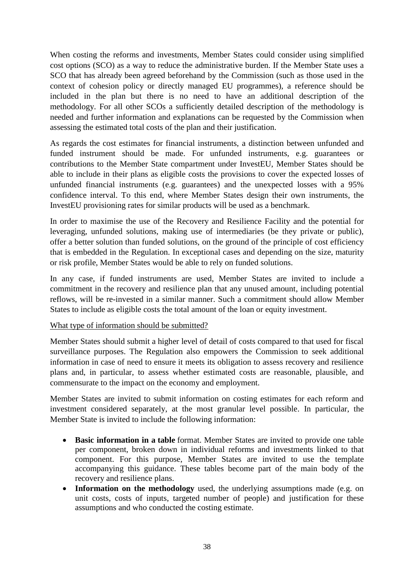When costing the reforms and investments, Member States could consider using simplified cost options (SCO) as a way to reduce the administrative burden. If the Member State uses a SCO that has already been agreed beforehand by the Commission (such as those used in the context of cohesion policy or directly managed EU programmes), a reference should be included in the plan but there is no need to have an additional description of the methodology. For all other SCOs a sufficiently detailed description of the methodology is needed and further information and explanations can be requested by the Commission when assessing the estimated total costs of the plan and their justification.

As regards the cost estimates for financial instruments, a distinction between unfunded and funded instrument should be made. For unfunded instruments, e.g. guarantees or contributions to the Member State compartment under InvestEU, Member States should be able to include in their plans as eligible costs the provisions to cover the expected losses of unfunded financial instruments (e.g. guarantees) and the unexpected losses with a 95% confidence interval. To this end, where Member States design their own instruments, the InvestEU provisioning rates for similar products will be used as a benchmark.

In order to maximise the use of the Recovery and Resilience Facility and the potential for leveraging, unfunded solutions, making use of intermediaries (be they private or public), offer a better solution than funded solutions, on the ground of the principle of cost efficiency that is embedded in the Regulation. In exceptional cases and depending on the size, maturity or risk profile, Member States would be able to rely on funded solutions.

In any case, if funded instruments are used, Member States are invited to include a commitment in the recovery and resilience plan that any unused amount, including potential reflows, will be re-invested in a similar manner. Such a commitment should allow Member States to include as eligible costs the total amount of the loan or equity investment.

#### What type of information should be submitted?

Member States should submit a higher level of detail of costs compared to that used for fiscal surveillance purposes. The Regulation also empowers the Commission to seek additional information in case of need to ensure it meets its obligation to assess recovery and resilience plans and, in particular, to assess whether estimated costs are reasonable, plausible, and commensurate to the impact on the economy and employment.

Member States are invited to submit information on costing estimates for each reform and investment considered separately, at the most granular level possible. In particular, the Member State is invited to include the following information:

- **Basic information in a table** format. Member States are invited to provide one table per component, broken down in individual reforms and investments linked to that component. For this purpose, Member States are invited to use the template accompanying this guidance. These tables become part of the main body of the recovery and resilience plans.
- **Information on the methodology** used, the underlying assumptions made (e.g. on unit costs, costs of inputs, targeted number of people) and justification for these assumptions and who conducted the costing estimate.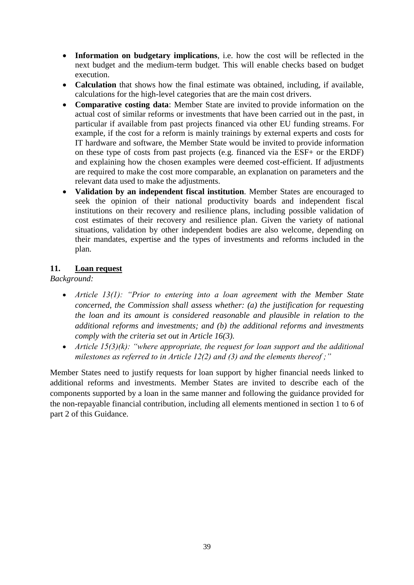- **Information on budgetary implications**, i.e. how the cost will be reflected in the next budget and the medium-term budget. This will enable checks based on budget execution.
- **Calculation** that shows how the final estimate was obtained, including, if available, calculations for the high-level categories that are the main cost drivers.
- **Comparative costing data**: Member State are invited to provide information on the actual cost of similar reforms or investments that have been carried out in the past, in particular if available from past projects financed via other EU funding streams. For example, if the cost for a reform is mainly trainings by external experts and costs for IT hardware and software, the Member State would be invited to provide information on these type of costs from past projects (e.g. financed via the ESF+ or the ERDF) and explaining how the chosen examples were deemed cost-efficient. If adjustments are required to make the cost more comparable, an explanation on parameters and the relevant data used to make the adjustments.
- **Validation by an independent fiscal institution**. Member States are encouraged to seek the opinion of their national productivity boards and independent fiscal institutions on their recovery and resilience plans, including possible validation of cost estimates of their recovery and resilience plan. Given the variety of national situations, validation by other independent bodies are also welcome, depending on their mandates, expertise and the types of investments and reforms included in the plan.

#### <span id="page-39-0"></span>**11. Loan request**

*Background:* 

- *Article 13(1): "Prior to entering into a loan agreement with the Member State concerned, the Commission shall assess whether: (a) the justification for requesting the loan and its amount is considered reasonable and plausible in relation to the additional reforms and investments; and (b) the additional reforms and investments comply with the criteria set out in Article 16(3).*
- *Article 15(3)(k): "where appropriate, the request for loan support and the additional milestones as referred to in Article 12(2) and (3) and the elements thereof ;"*

Member States need to justify requests for loan support by higher financial needs linked to additional reforms and investments. Member States are invited to describe each of the components supported by a loan in the same manner and following the guidance provided for the non-repayable financial contribution, including all elements mentioned in section 1 to 6 of part 2 of this Guidance.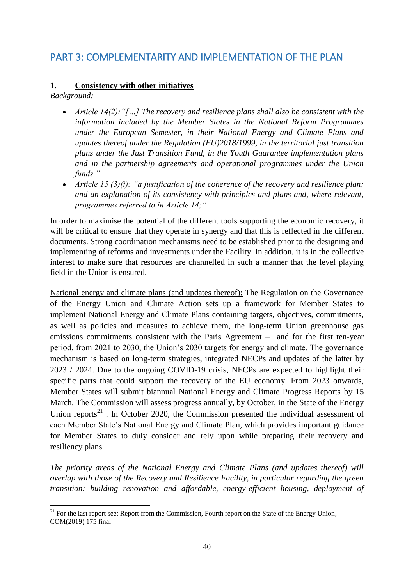# <span id="page-40-0"></span>PART 3: COMPLEMENTARITY AND IMPLEMENTATION OF THE PLAN

#### <span id="page-40-1"></span>**1. Consistency with other initiatives**

*Background:* 

- *Article 14(2):"[…] The recovery and resilience plans shall also be consistent with the information included by the Member States in the National Reform Programmes under the European Semester, in their National Energy and Climate Plans and updates thereof under the Regulation (EU)2018/1999, in the territorial just transition plans under the Just Transition Fund, in the Youth Guarantee implementation plans and in the partnership agreements and operational programmes under the Union funds."*
- *Article 15 (3)(i): "a justification of the coherence of the recovery and resilience plan; and an explanation of its consistency with principles and plans and, where relevant, programmes referred to in Article 14;"*

In order to maximise the potential of the different tools supporting the economic recovery, it will be critical to ensure that they operate in synergy and that this is reflected in the different documents. Strong coordination mechanisms need to be established prior to the designing and implementing of reforms and investments under the Facility. In addition, it is in the collective interest to make sure that resources are channelled in such a manner that the level playing field in the Union is ensured.

National energy and climate plans (and updates thereof): The Regulation on the Governance of the Energy Union and Climate Action sets up a framework for Member States to implement National Energy and Climate Plans containing targets, objectives, commitments, as well as policies and measures to achieve them, the long-term Union greenhouse gas emissions commitments consistent with the Paris Agreement – and for the first ten-year period, from 2021 to 2030, the Union's 2030 targets for energy and climate. The governance mechanism is based on long-term strategies, integrated NECPs and updates of the latter by 2023 / 2024. Due to the ongoing COVID-19 crisis, NECPs are expected to highlight their specific parts that could support the recovery of the EU economy. From 2023 onwards, Member States will submit biannual National Energy and Climate Progress Reports by 15 March. The Commission will assess progress annually, by October, in the State of the Energy Union reports<sup>21</sup>. In October 2020, the Commission presented the individual assessment of each Member State's National Energy and Climate Plan, which provides important guidance for Member States to duly consider and rely upon while preparing their recovery and resiliency plans.

*The priority areas of the National Energy and Climate Plans (and updates thereof) will overlap with those of the Recovery and Resilience Facility, in particular regarding the green transition: building renovation and affordable, energy-efficient housing, deployment of* 

**<sup>.</sup>** <sup>21</sup> For the last report see: Report from the Commission, Fourth report on the State of the Energy Union, COM(2019) 175 final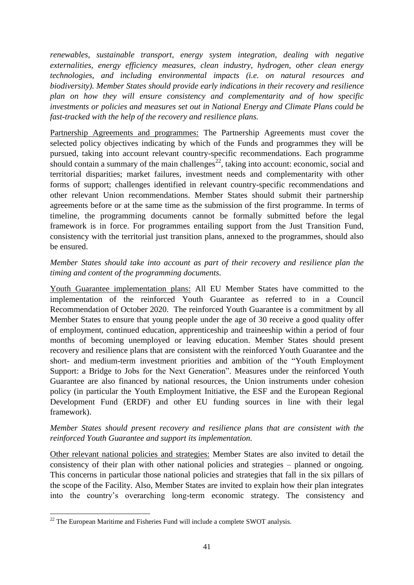*renewables, sustainable transport, energy system integration, dealing with negative externalities, energy efficiency measures, clean industry, hydrogen, other clean energy technologies, and including environmental impacts (i.e. on natural resources and biodiversity). Member States should provide early indications in their recovery and resilience plan on how they will ensure consistency and complementarity and of how specific investments or policies and measures set out in National Energy and Climate Plans could be fast-tracked with the help of the recovery and resilience plans.*

Partnership Agreements and programmes: The Partnership Agreements must cover the selected policy objectives indicating by which of the Funds and programmes they will be pursued, taking into account relevant country-specific recommendations. Each programme should contain a summary of the main challenges<sup>22</sup>, taking into account: economic, social and territorial disparities; market failures, investment needs and complementarity with other forms of support; challenges identified in relevant country-specific recommendations and other relevant Union recommendations. Member States should submit their partnership agreements before or at the same time as the submission of the first programme. In terms of timeline, the programming documents cannot be formally submitted before the legal framework is in force. For programmes entailing support from the Just Transition Fund, consistency with the territorial just transition plans, annexed to the programmes, should also be ensured.

## *Member States should take into account as part of their recovery and resilience plan the timing and content of the programming documents.*

Youth Guarantee implementation plans: All EU Member States have committed to the implementation of the reinforced Youth Guarantee as referred to in a [Council](https://eur-lex.europa.eu/legal-content/EN/TXT/?uri=uriserv%3AOJ.C_.2020.372.01.0001.01.ENG&toc=OJ%3AC%3A2020%3A372%3ATOC)  [Recommendation of October 2020.](https://eur-lex.europa.eu/legal-content/EN/TXT/?uri=uriserv%3AOJ.C_.2020.372.01.0001.01.ENG&toc=OJ%3AC%3A2020%3A372%3ATOC) The reinforced Youth Guarantee is a commitment by all Member States to ensure that young people under the age of 30 receive a good quality offer of employment, continued education, apprenticeship and [traineeship](https://ec.europa.eu/social/main.jsp?catId=1045&langId=en) within a period of four months of becoming unemployed or leaving education. Member States should present recovery and resilience plans that are consistent with the reinforced Youth Guarantee and the short- and medium-term investment priorities and ambition of the "Youth Employment Support: a Bridge to Jobs for the Next Generation". Measures under the reinforced Youth Guarantee are also financed by national resources, the Union instruments under cohesion policy (in particular the Youth Employment Initiative, the ESF and the European Regional Development Fund (ERDF) and other EU funding sources in line with their legal framework).

#### *Member States should present recovery and resilience plans that are consistent with the reinforced Youth Guarantee and support its implementation.*

Other relevant national policies and strategies: Member States are also invited to detail the consistency of their plan with other national policies and strategies – planned or ongoing. This concerns in particular those national policies and strategies that fall in the six pillars of the scope of the Facility. Also, Member States are invited to explain how their plan integrates into the country's overarching long-term economic strategy. The consistency and

**<sup>.</sup>**  $22$  The European Maritime and Fisheries Fund will include a complete SWOT analysis.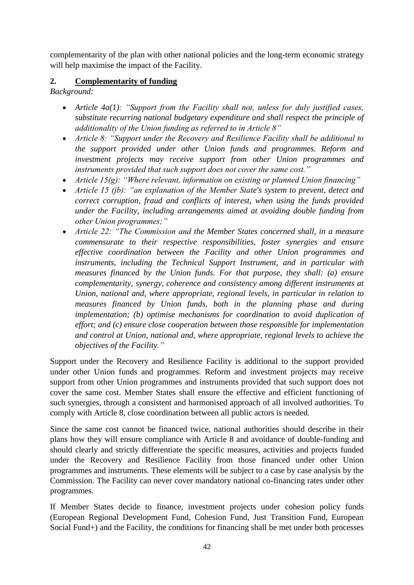complementarity of the plan with other national policies and the long-term economic strategy will help maximise the impact of the Facility.

## <span id="page-42-0"></span>**2. Complementarity of funding**

*Background:* 

- *Article 4a(1): "Support from the Facility shall not, unless for duly justified cases, substitute recurring national budgetary expenditure and shall respect the principle of additionality of the Union funding as referred to in Article 8"*
- *Article 8: "Support under the Recovery and Resilience Facility shall be additional to the support provided under other Union funds and programmes. Reform and investment projects may receive support from other Union programmes and instruments provided that such support does not cover the same cost."*
- *Article 15(g): "Where relevant, information on existing or planned Union financing"*
- *Article 15 (jb): "an explanation of the Member State's system to prevent, detect and correct corruption, fraud and conflicts of interest, when using the funds provided under the Facility, including arrangements aimed at avoiding double funding from other Union programmes;"*
- *Article 22: "The Commission and the Member States concerned shall, in a measure commensurate to their respective responsibilities, foster synergies and ensure effective coordination between the Facility and other Union programmes and instruments, including the Technical Support Instrument, and in particular with measures financed by the Union funds. For that purpose, they shall: (a) ensure complementarity, synergy, coherence and consistency among different instruments at Union, national and, where appropriate, regional levels, in particular in relation to measures financed by Union funds, both in the planning phase and during implementation; (b) optimise mechanisms for coordination to avoid duplication of effort; and (c) ensure close cooperation between those responsible for implementation and control at Union, national and, where appropriate, regional levels to achieve the objectives of the Facility."*

Support under the Recovery and Resilience Facility is additional to the support provided under other Union funds and programmes. Reform and investment projects may receive support from other Union programmes and instruments provided that such support does not cover the same cost. Member States shall ensure the effective and efficient functioning of such synergies, through a consistent and harmonised approach of all involved authorities. To comply with Article 8, close coordination between all public actors is needed.

Since the same cost cannot be financed twice, national authorities should describe in their plans how they will ensure compliance with Article 8 and avoidance of double-funding and should clearly and strictly differentiate the specific measures, activities and projects funded under the Recovery and Resilience Facility from those financed under other Union programmes and instruments. These elements will be subject to a case by case analysis by the Commission. The Facility can never cover mandatory national co-financing rates under other programmes.

If Member States decide to finance, investment projects under cohesion policy funds (European Regional Development Fund, Cohesion Fund, Just Transition Fund, European Social Fund+) and the Facility, the conditions for financing shall be met under both processes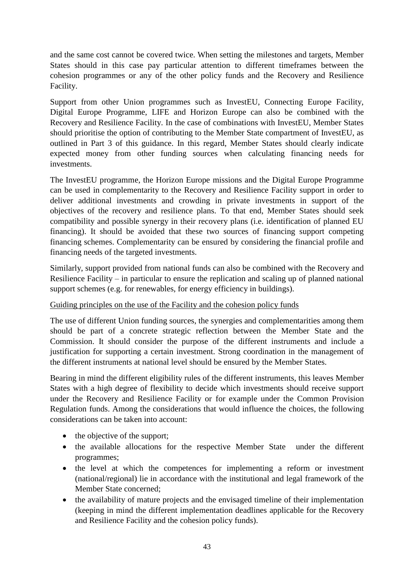and the same cost cannot be covered twice. When setting the milestones and targets, Member States should in this case pay particular attention to different timeframes between the cohesion programmes or any of the other policy funds and the Recovery and Resilience Facility.

Support from other Union programmes such as InvestEU, Connecting Europe Facility, Digital Europe Programme, LIFE and Horizon Europe can also be combined with the Recovery and Resilience Facility. In the case of combinations with InvestEU, Member States should prioritise the option of contributing to the Member State compartment of InvestEU, as outlined in Part 3 of this guidance. In this regard, Member States should clearly indicate expected money from other funding sources when calculating financing needs for investments.

The InvestEU programme, the Horizon Europe missions and the Digital Europe Programme can be used in complementarity to the Recovery and Resilience Facility support in order to deliver additional investments and crowding in private investments in support of the objectives of the recovery and resilience plans. To that end, Member States should seek compatibility and possible synergy in their recovery plans (i.e. identification of planned EU financing). It should be avoided that these two sources of financing support competing financing schemes. Complementarity can be ensured by considering the financial profile and financing needs of the targeted investments.

Similarly, support provided from national funds can also be combined with the Recovery and Resilience Facility – in particular to ensure the replication and scaling up of planned national support schemes (e.g. for renewables, for energy efficiency in buildings).

#### Guiding principles on the use of the Facility and the cohesion policy funds

The use of different Union funding sources, the synergies and complementarities among them should be part of a concrete strategic reflection between the Member State and the Commission. It should consider the purpose of the different instruments and include a justification for supporting a certain investment. Strong coordination in the management of the different instruments at national level should be ensured by the Member States.

Bearing in mind the different eligibility rules of the different instruments, this leaves Member States with a high degree of flexibility to decide which investments should receive support under the Recovery and Resilience Facility or for example under the Common Provision Regulation funds. Among the considerations that would influence the choices, the following considerations can be taken into account:

- the objective of the support;
- the available allocations for the respective Member State under the different programmes;
- the level at which the competences for implementing a reform or investment (national/regional) lie in accordance with the institutional and legal framework of the Member State concerned;
- the availability of mature projects and the envisaged timeline of their implementation (keeping in mind the different implementation deadlines applicable for the Recovery and Resilience Facility and the cohesion policy funds).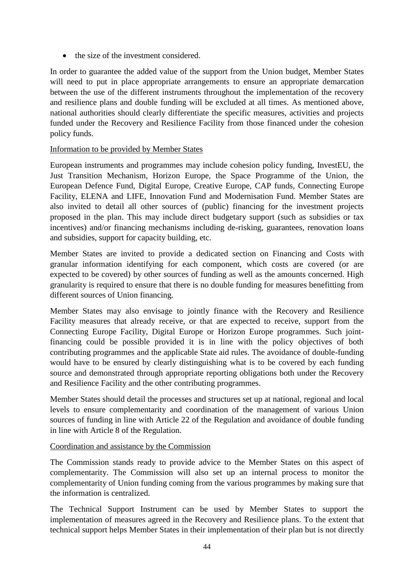• the size of the investment considered.

In order to guarantee the added value of the support from the Union budget, Member States will need to put in place appropriate arrangements to ensure an appropriate demarcation between the use of the different instruments throughout the implementation of the recovery and resilience plans and double funding will be excluded at all times. As mentioned above, national authorities should clearly differentiate the specific measures, activities and projects funded under the Recovery and Resilience Facility from those financed under the cohesion policy funds.

#### Information to be provided by Member States

European instruments and programmes may include cohesion policy funding, InvestEU, the Just Transition Mechanism, Horizon Europe, the Space Programme of the Union, the European Defence Fund, Digital Europe, Creative Europe, CAP funds, Connecting Europe Facility, ELENA and LIFE, Innovation Fund and Modernisation Fund. Member States are also invited to detail all other sources of (public) financing for the investment projects proposed in the plan. This may include direct budgetary support (such as subsidies or tax incentives) and/or financing mechanisms including de-risking, guarantees, renovation loans and subsidies, support for capacity building, etc.

Member States are invited to provide a dedicated section on Financing and Costs with granular information identifying for each component, which costs are covered (or are expected to be covered) by other sources of funding as well as the amounts concerned. High granularity is required to ensure that there is no double funding for measures benefitting from different sources of Union financing.

Member States may also envisage to jointly finance with the Recovery and Resilience Facility measures that already receive, or that are expected to receive, support from the Connecting Europe Facility, Digital Europe or Horizon Europe programmes. Such jointfinancing could be possible provided it is in line with the policy objectives of both contributing programmes and the applicable State aid rules. The avoidance of double-funding would have to be ensured by clearly distinguishing what is to be covered by each funding source and demonstrated through appropriate reporting obligations both under the Recovery and Resilience Facility and the other contributing programmes.

Member States should detail the processes and structures set up at national, regional and local levels to ensure complementarity and coordination of the management of various Union sources of funding in line with Article 22 of the Regulation and avoidance of double funding in line with Article 8 of the Regulation.

#### Coordination and assistance by the Commission

The Commission stands ready to provide advice to the Member States on this aspect of complementarity. The Commission will also set up an internal process to monitor the complementarity of Union funding coming from the various programmes by making sure that the information is centralized.

The Technical Support Instrument can be used by Member States to support the implementation of measures agreed in the Recovery and Resilience plans. To the extent that technical support helps Member States in their implementation of their plan but is not directly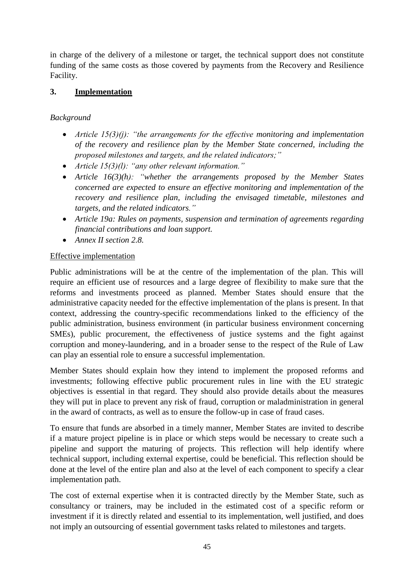in charge of the delivery of a milestone or target, the technical support does not constitute funding of the same costs as those covered by payments from the Recovery and Resilience Facility.

## <span id="page-45-0"></span>**3. Implementation**

## *Background*

- *Article 15(3)(j): "the arrangements for the effective monitoring and implementation of the recovery and resilience plan by the Member State concerned, including the proposed milestones and targets, and the related indicators;"*
- *Article 15(3)(l): "any other relevant information."*
- *Article 16(3)(h): "whether the arrangements proposed by the Member States concerned are expected to ensure an effective monitoring and implementation of the recovery and resilience plan, including the envisaged timetable, milestones and targets, and the related indicators."*
- *Article 19a: Rules on payments, suspension and termination of agreements regarding financial contributions and loan support.*
- *Annex II section 2.8.*

#### Effective implementation

Public administrations will be at the centre of the implementation of the plan. This will require an efficient use of resources and a large degree of flexibility to make sure that the reforms and investments proceed as planned. Member States should ensure that the administrative capacity needed for the effective implementation of the plans is present. In that context, addressing the country-specific recommendations linked to the efficiency of the public administration, business environment (in particular business environment concerning SMEs), public procurement, the effectiveness of justice systems and the fight against corruption and money-laundering, and in a broader sense to the respect of the Rule of Law can play an essential role to ensure a successful implementation.

Member States should explain how they intend to implement the proposed reforms and investments; following effective public procurement rules in line with the EU strategic objectives is essential in that regard. They should also provide details about the measures they will put in place to prevent any risk of fraud, corruption or maladministration in general in the award of contracts, as well as to ensure the follow-up in case of fraud cases.

To ensure that funds are absorbed in a timely manner, Member States are invited to describe if a mature project pipeline is in place or which steps would be necessary to create such a pipeline and support the maturing of projects. This reflection will help identify where technical support, including external expertise, could be beneficial. This reflection should be done at the level of the entire plan and also at the level of each component to specify a clear implementation path.

The cost of external expertise when it is contracted directly by the Member State, such as consultancy or trainers, may be included in the estimated cost of a specific reform or investment if it is directly related and essential to its implementation, well justified, and does not imply an outsourcing of essential government tasks related to milestones and targets.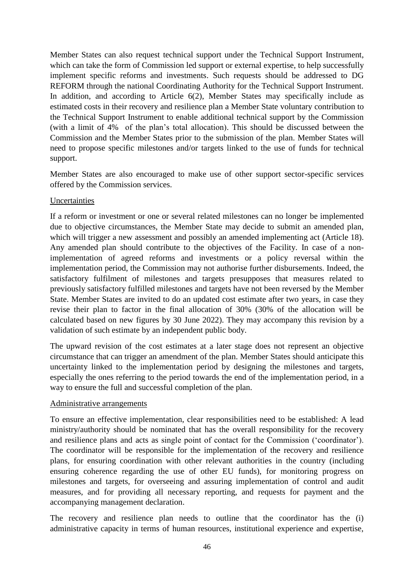Member States can also request technical support under the Technical Support Instrument, which can take the form of Commission led support or external expertise, to help successfully implement specific reforms and investments. Such requests should be addressed to DG REFORM through the national Coordinating Authority for the Technical Support Instrument. In addition, and according to Article 6(2), Member States may specifically include as estimated costs in their recovery and resilience plan a Member State voluntary contribution to the Technical Support Instrument to enable additional technical support by the Commission (with a limit of 4% of the plan's total allocation). This should be discussed between the Commission and the Member States prior to the submission of the plan. Member States will need to propose specific milestones and/or targets linked to the use of funds for technical support.

Member States are also encouraged to make use of other support sector-specific services offered by the Commission services.

#### Uncertainties

If a reform or investment or one or several related milestones can no longer be implemented due to objective circumstances, the Member State may decide to submit an amended plan, which will trigger a new assessment and possibly an amended implementing act (Article 18). Any amended plan should contribute to the objectives of the Facility. In case of a nonimplementation of agreed reforms and investments or a policy reversal within the implementation period, the Commission may not authorise further disbursements. Indeed, the satisfactory fulfilment of milestones and targets presupposes that measures related to previously satisfactory fulfilled milestones and targets have not been reversed by the Member State. Member States are invited to do an updated cost estimate after two years, in case they revise their plan to factor in the final allocation of 30% (30% of the allocation will be calculated based on new figures by 30 June 2022). They may accompany this revision by a validation of such estimate by an independent public body.

The upward revision of the cost estimates at a later stage does not represent an objective circumstance that can trigger an amendment of the plan. Member States should anticipate this uncertainty linked to the implementation period by designing the milestones and targets, especially the ones referring to the period towards the end of the implementation period, in a way to ensure the full and successful completion of the plan.

#### Administrative arrangements

To ensure an effective implementation, clear responsibilities need to be established: A lead ministry/authority should be nominated that has the overall responsibility for the recovery and resilience plans and acts as single point of contact for the Commission ('coordinator'). The coordinator will be responsible for the implementation of the recovery and resilience plans, for ensuring coordination with other relevant authorities in the country (including ensuring coherence regarding the use of other EU funds), for monitoring progress on milestones and targets, for overseeing and assuring implementation of control and audit measures, and for providing all necessary reporting, and requests for payment and the accompanying management declaration.

The recovery and resilience plan needs to outline that the coordinator has the (i) administrative capacity in terms of human resources, institutional experience and expertise,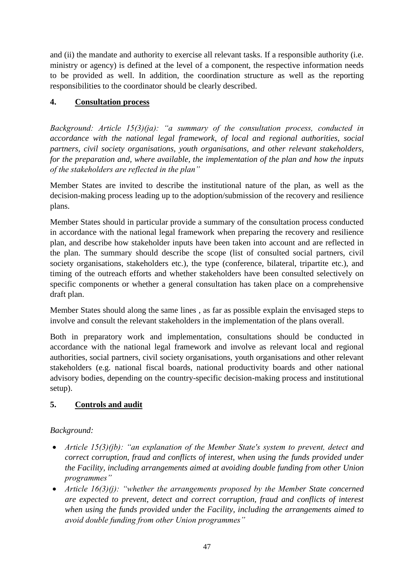and (ii) the mandate and authority to exercise all relevant tasks. If a responsible authority (i.e. ministry or agency) is defined at the level of a component, the respective information needs to be provided as well. In addition, the coordination structure as well as the reporting responsibilities to the coordinator should be clearly described.

## <span id="page-47-0"></span>**4. Consultation process**

*Background: Article 15(3)(ja): "a summary of the consultation process, conducted in accordance with the national legal framework, of local and regional authorities, social partners, civil society organisations, youth organisations, and other relevant stakeholders, for the preparation and, where available, the implementation of the plan and how the inputs of the stakeholders are reflected in the plan"*

Member States are invited to describe the institutional nature of the plan, as well as the decision-making process leading up to the adoption/submission of the recovery and resilience plans.

Member States should in particular provide a summary of the consultation process conducted in accordance with the national legal framework when preparing the recovery and resilience plan, and describe how stakeholder inputs have been taken into account and are reflected in the plan. The summary should describe the scope (list of consulted social partners, civil society organisations, stakeholders etc.), the type (conference, bilateral, tripartite etc.), and timing of the outreach efforts and whether stakeholders have been consulted selectively on specific components or whether a general consultation has taken place on a comprehensive draft plan.

Member States should along the same lines , as far as possible explain the envisaged steps to involve and consult the relevant stakeholders in the implementation of the plans overall.

Both in preparatory work and implementation, consultations should be conducted in accordance with the national legal framework and involve as relevant local and regional authorities, social partners, civil society organisations, youth organisations and other relevant stakeholders (e.g. national fiscal boards, national productivity boards and other national advisory bodies, depending on the country-specific decision-making process and institutional setup).

## <span id="page-47-1"></span>**5. Controls and audit**

## *Background:*

- *Article 15(3)(jb): "an explanation of the Member State's system to prevent, detect and correct corruption, fraud and conflicts of interest, when using the funds provided under the Facility, including arrangements aimed at avoiding double funding from other Union programmes"*
- *Article 16(3)(j): "whether the arrangements proposed by the Member State concerned are expected to prevent, detect and correct corruption, fraud and conflicts of interest when using the funds provided under the Facility, including the arrangements aimed to avoid double funding from other Union programmes"*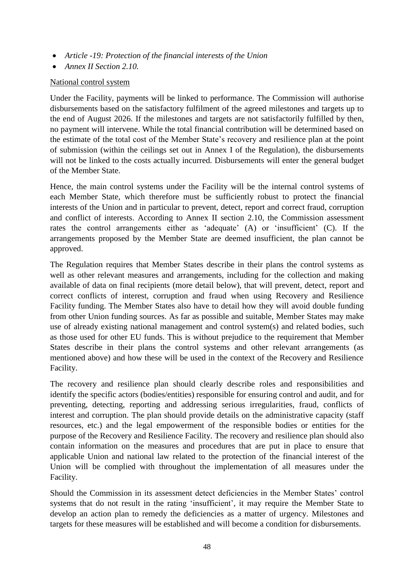- *Article -19: Protection of the financial interests of the Union*
- *Annex II Section 2.10.*

#### National control system

Under the Facility, payments will be linked to performance. The Commission will authorise disbursements based on the satisfactory fulfilment of the agreed milestones and targets up to the end of August 2026. If the milestones and targets are not satisfactorily fulfilled by then, no payment will intervene. While the total financial contribution will be determined based on the estimate of the total cost of the Member State's recovery and resilience plan at the point of submission (within the ceilings set out in Annex I of the Regulation), the disbursements will not be linked to the costs actually incurred. Disbursements will enter the general budget of the Member State.

Hence, the main control systems under the Facility will be the internal control systems of each Member State, which therefore must be sufficiently robust to protect the financial interests of the Union and in particular to prevent, detect, report and correct fraud, corruption and conflict of interests. According to Annex II section 2.10, the Commission assessment rates the control arrangements either as 'adequate' (A) or 'insufficient' (C). If the arrangements proposed by the Member State are deemed insufficient, the plan cannot be approved.

The Regulation requires that Member States describe in their plans the control systems as well as other relevant measures and arrangements, including for the collection and making available of data on final recipients (more detail below), that will prevent, detect, report and correct conflicts of interest, corruption and fraud when using Recovery and Resilience Facility funding. The Member States also have to detail how they will avoid double funding from other Union funding sources. As far as possible and suitable, Member States may make use of already existing national management and control system(s) and related bodies, such as those used for other EU funds. This is without prejudice to the requirement that Member States describe in their plans the control systems and other relevant arrangements (as mentioned above) and how these will be used in the context of the Recovery and Resilience Facility.

The recovery and resilience plan should clearly describe roles and responsibilities and identify the specific actors (bodies/entities) responsible for ensuring control and audit, and for preventing, detecting, reporting and addressing serious irregularities, fraud, conflicts of interest and corruption. The plan should provide details on the administrative capacity (staff resources, etc.) and the legal empowerment of the responsible bodies or entities for the purpose of the Recovery and Resilience Facility. The recovery and resilience plan should also contain information on the measures and procedures that are put in place to ensure that applicable Union and national law related to the protection of the financial interest of the Union will be complied with throughout the implementation of all measures under the Facility.

Should the Commission in its assessment detect deficiencies in the Member States' control systems that do not result in the rating 'insufficient', it may require the Member State to develop an action plan to remedy the deficiencies as a matter of urgency. Milestones and targets for these measures will be established and will become a condition for disbursements.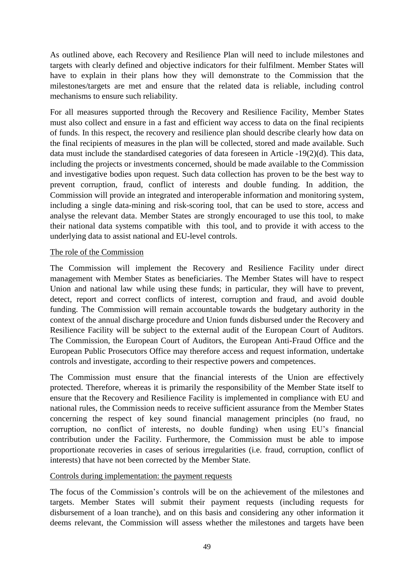As outlined above, each Recovery and Resilience Plan will need to include milestones and targets with clearly defined and objective indicators for their fulfilment. Member States will have to explain in their plans how they will demonstrate to the Commission that the milestones/targets are met and ensure that the related data is reliable, including control mechanisms to ensure such reliability.

For all measures supported through the Recovery and Resilience Facility, Member States must also collect and ensure in a fast and efficient way access to data on the final recipients of funds. In this respect, the recovery and resilience plan should describe clearly how data on the final recipients of measures in the plan will be collected, stored and made available. Such data must include the standardised categories of data foreseen in Article -19(2)(d). This data, including the projects or investments concerned, should be made available to the Commission and investigative bodies upon request. Such data collection has proven to be the best way to prevent corruption, fraud, conflict of interests and double funding. In addition, the Commission will provide an integrated and interoperable information and monitoring system, including a single data-mining and risk-scoring tool, that can be used to store, access and analyse the relevant data. Member States are strongly encouraged to use this tool, to make their national data systems compatible with this tool, and to provide it with access to the underlying data to assist national and EU-level controls.

#### The role of the Commission

The Commission will implement the Recovery and Resilience Facility under direct management with Member States as beneficiaries. The Member States will have to respect Union and national law while using these funds; in particular, they will have to prevent, detect, report and correct conflicts of interest, corruption and fraud, and avoid double funding. The Commission will remain accountable towards the budgetary authority in the context of the annual discharge procedure and Union funds disbursed under the Recovery and Resilience Facility will be subject to the external audit of the European Court of Auditors. The Commission, the European Court of Auditors, the European Anti-Fraud Office and the European Public Prosecutors Office may therefore access and request information, undertake controls and investigate, according to their respective powers and competences.

The Commission must ensure that the financial interests of the Union are effectively protected. Therefore, whereas it is primarily the responsibility of the Member State itself to ensure that the Recovery and Resilience Facility is implemented in compliance with EU and national rules, the Commission needs to receive sufficient assurance from the Member States concerning the respect of key sound financial management principles (no fraud, no corruption, no conflict of interests, no double funding) when using EU's financial contribution under the Facility. Furthermore, the Commission must be able to impose proportionate recoveries in cases of serious irregularities (i.e. fraud, corruption, conflict of interests) that have not been corrected by the Member State.

#### Controls during implementation: the payment requests

The focus of the Commission's controls will be on the achievement of the milestones and targets. Member States will submit their payment requests (including requests for disbursement of a loan tranche), and on this basis and considering any other information it deems relevant, the Commission will assess whether the milestones and targets have been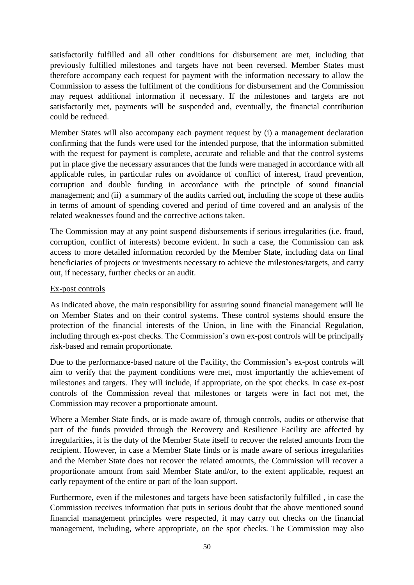satisfactorily fulfilled and all other conditions for disbursement are met, including that previously fulfilled milestones and targets have not been reversed. Member States must therefore accompany each request for payment with the information necessary to allow the Commission to assess the fulfilment of the conditions for disbursement and the Commission may request additional information if necessary. If the milestones and targets are not satisfactorily met, payments will be suspended and, eventually, the financial contribution could be reduced.

Member States will also accompany each payment request by (i) a management declaration confirming that the funds were used for the intended purpose, that the information submitted with the request for payment is complete, accurate and reliable and that the control systems put in place give the necessary assurances that the funds were managed in accordance with all applicable rules, in particular rules on avoidance of conflict of interest, fraud prevention, corruption and double funding in accordance with the principle of sound financial management; and (ii) a summary of the audits carried out, including the scope of these audits in terms of amount of spending covered and period of time covered and an analysis of the related weaknesses found and the corrective actions taken.

The Commission may at any point suspend disbursements if serious irregularities (i.e. fraud, corruption, conflict of interests) become evident. In such a case, the Commission can ask access to more detailed information recorded by the Member State, including data on final beneficiaries of projects or investments necessary to achieve the milestones/targets, and carry out, if necessary, further checks or an audit.

#### Ex-post controls

As indicated above, the main responsibility for assuring sound financial management will lie on Member States and on their control systems. These control systems should ensure the protection of the financial interests of the Union, in line with the Financial Regulation, including through ex-post checks. The Commission's own ex-post controls will be principally risk-based and remain proportionate.

Due to the performance-based nature of the Facility, the Commission's ex-post controls will aim to verify that the payment conditions were met, most importantly the achievement of milestones and targets. They will include, if appropriate, on the spot checks. In case ex-post controls of the Commission reveal that milestones or targets were in fact not met, the Commission may recover a proportionate amount.

Where a Member State finds, or is made aware of, through controls, audits or otherwise that part of the funds provided through the Recovery and Resilience Facility are affected by irregularities, it is the duty of the Member State itself to recover the related amounts from the recipient. However, in case a Member State finds or is made aware of serious irregularities and the Member State does not recover the related amounts, the Commission will recover a proportionate amount from said Member State and/or, to the extent applicable, request an early repayment of the entire or part of the loan support.

Furthermore, even if the milestones and targets have been satisfactorily fulfilled , in case the Commission receives information that puts in serious doubt that the above mentioned sound financial management principles were respected, it may carry out checks on the financial management, including, where appropriate, on the spot checks. The Commission may also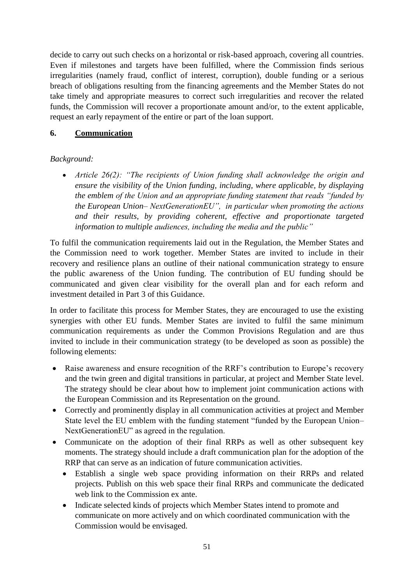decide to carry out such checks on a horizontal or risk-based approach, covering all countries. Even if milestones and targets have been fulfilled, where the Commission finds serious irregularities (namely fraud, conflict of interest, corruption), double funding or a serious breach of obligations resulting from the financing agreements and the Member States do not take timely and appropriate measures to correct such irregularities and recover the related funds, the Commission will recover a proportionate amount and/or, to the extent applicable, request an early repayment of the entire or part of the loan support.

### <span id="page-51-0"></span>**6. Communication**

## *Background:*

 *Article 26(2): "The recipients of Union funding shall acknowledge the origin and ensure the visibility of the Union funding, including, where applicable, by displaying the emblem of the Union and an appropriate funding statement that reads "funded by the European Union– NextGenerationEU", in particular when promoting the actions and their results, by providing coherent, effective and proportionate targeted information to multiple audiences, including the media and the public"*

To fulfil the communication requirements laid out in the Regulation, the Member States and the Commission need to work together. Member States are invited to include in their recovery and resilience plans an outline of their national communication strategy to ensure the public awareness of the Union funding. The contribution of EU funding should be communicated and given clear visibility for the overall plan and for each reform and investment detailed in Part 3 of this Guidance.

In order to facilitate this process for Member States, they are encouraged to use the existing synergies with other EU funds. Member States are invited to fulfil the same minimum communication requirements as under the Common Provisions Regulation and are thus invited to include in their communication strategy (to be developed as soon as possible) the following elements:

- Raise awareness and ensure recognition of the RRF's contribution to Europe's recovery and the twin green and digital transitions in particular, at project and Member State level. The strategy should be clear about how to implement joint communication actions with the European Commission and its Representation on the ground.
- Correctly and prominently display in all communication activities at project and Member State level the EU emblem with the funding statement "funded by the European Union– NextGenerationEU" as agreed in the regulation.
- Communicate on the adoption of their final RRPs as well as other subsequent key moments. The strategy should include a draft communication plan for the adoption of the RRP that can serve as an indication of future communication activities.
	- Establish a single web space providing information on their RRPs and related projects. Publish on this web space their final RRPs and communicate the dedicated web link to the Commission ex ante.
	- Indicate selected kinds of projects which Member States intend to promote and communicate on more actively and on which coordinated communication with the Commission would be envisaged.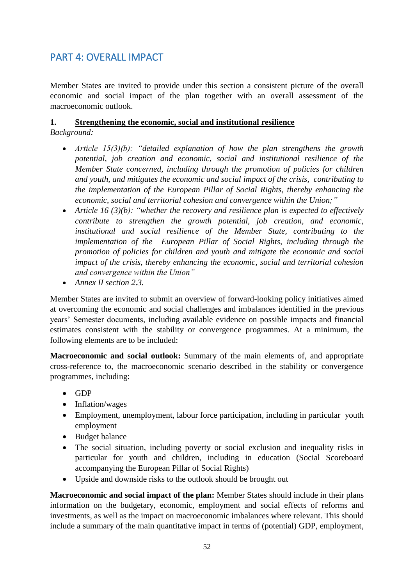# <span id="page-52-0"></span>PART 4: OVERALL IMPACT

Member States are invited to provide under this section a consistent picture of the overall economic and social impact of the plan together with an overall assessment of the macroeconomic outlook.

#### <span id="page-52-1"></span>**1. Strengthening the economic, social and institutional resilience**  *Background:*

- *Article 15(3)(b): "detailed explanation of how the plan strengthens the growth potential, job creation and economic, social and institutional resilience of the Member State concerned, including through the promotion of policies for children and youth, and mitigates the economic and social impact of the crisis, contributing to the implementation of the European Pillar of Social Rights, thereby enhancing the economic, social and territorial cohesion and convergence within the Union;"*
- *Article 16 (3)(b): "whether the recovery and resilience plan is expected to effectively contribute to strengthen the growth potential, job creation, and economic, institutional and social resilience of the Member State, contributing to the implementation of the European Pillar of Social Rights, including through the promotion of policies for children and youth and mitigate the economic and social impact of the crisis, thereby enhancing the economic, social and territorial cohesion and convergence within the Union"*
- *Annex II section 2.3.*

Member States are invited to submit an overview of forward-looking policy initiatives aimed at overcoming the economic and social challenges and imbalances identified in the previous years' Semester documents, including available evidence on possible impacts and financial estimates consistent with the stability or convergence programmes. At a minimum, the following elements are to be included:

**Macroeconomic and social outlook:** Summary of the main elements of, and appropriate cross-reference to, the macroeconomic scenario described in the stability or convergence programmes, including:

- $\bullet$  GDP
- Inflation/wages
- Employment, unemployment, labour force participation, including in particular youth employment
- Budget balance
- The social situation, including poverty or social exclusion and inequality risks in particular for youth and children, including in education (Social Scoreboard accompanying the European Pillar of Social Rights)
- Upside and downside risks to the outlook should be brought out

**Macroeconomic and social impact of the plan:** Member States should include in their plans information on the budgetary, economic, employment and social effects of reforms and investments, as well as the impact on macroeconomic imbalances where relevant. This should include a summary of the main quantitative impact in terms of (potential) GDP, employment,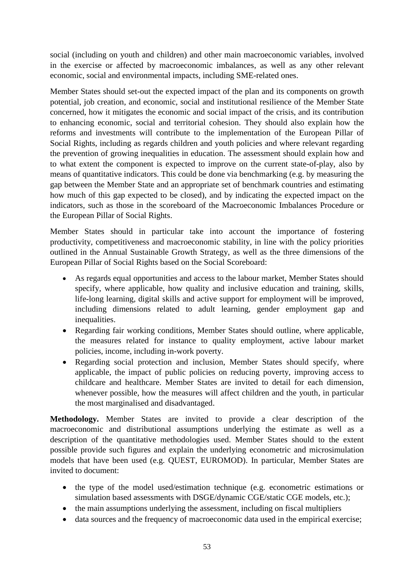social (including on youth and children) and other main macroeconomic variables, involved in the exercise or affected by macroeconomic imbalances, as well as any other relevant economic, social and environmental impacts, including SME-related ones.

Member States should set-out the expected impact of the plan and its components on growth potential, job creation, and economic, social and institutional resilience of the Member State concerned, how it mitigates the economic and social impact of the crisis, and its contribution to enhancing economic, social and territorial cohesion. They should also explain how the reforms and investments will contribute to the implementation of the European Pillar of Social Rights, including as regards children and youth policies and where relevant regarding the prevention of growing inequalities in education. The assessment should explain how and to what extent the component is expected to improve on the current state-of-play, also by means of quantitative indicators. This could be done via benchmarking (e.g. by measuring the gap between the Member State and an appropriate set of benchmark countries and estimating how much of this gap expected to be closed), and by indicating the expected impact on the indicators, such as those in the scoreboard of the Macroeconomic Imbalances Procedure or the European Pillar of Social Rights.

Member States should in particular take into account the importance of fostering productivity, competitiveness and macroeconomic stability, in line with the policy priorities outlined in the Annual Sustainable Growth Strategy, as well as the three dimensions of the European Pillar of Social Rights based on the Social Scoreboard:

- As regards equal opportunities and access to the labour market, Member States should specify, where applicable, how quality and inclusive education and training, skills, life-long learning, digital skills and active support for employment will be improved, including dimensions related to adult learning, gender employment gap and inequalities.
- Regarding fair working conditions, Member States should outline, where applicable, the measures related for instance to quality employment, active labour market policies, income, including in-work poverty.
- Regarding social protection and inclusion, Member States should specify, where applicable, the impact of public policies on reducing poverty, improving access to childcare and healthcare. Member States are invited to detail for each dimension, whenever possible, how the measures will affect children and the youth, in particular the most marginalised and disadvantaged.

**Methodology.** Member States are invited to provide a clear description of the macroeconomic and distributional assumptions underlying the estimate as well as a description of the quantitative methodologies used. Member States should to the extent possible provide such figures and explain the underlying econometric and microsimulation models that have been used (e.g. QUEST, EUROMOD). In particular, Member States are invited to document:

- the type of the model used/estimation technique (e.g. econometric estimations or simulation based assessments with DSGE/dynamic CGE/static CGE models, etc.);
- the main assumptions underlying the assessment, including on fiscal multipliers
- data sources and the frequency of macroeconomic data used in the empirical exercise;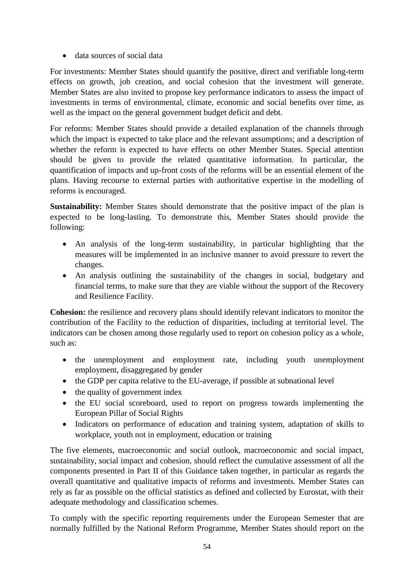• data sources of social data

For investments: Member States should quantify the positive, direct and verifiable long-term effects on growth, job creation, and social cohesion that the investment will generate. Member States are also invited to propose key performance indicators to assess the impact of investments in terms of environmental, climate, economic and social benefits over time, as well as the impact on the general government budget deficit and debt.

For reforms: Member States should provide a detailed explanation of the channels through which the impact is expected to take place and the relevant assumptions; and a description of whether the reform is expected to have effects on other Member States. Special attention should be given to provide the related quantitative information. In particular, the quantification of impacts and up-front costs of the reforms will be an essential element of the plans. Having recourse to external parties with authoritative expertise in the modelling of reforms is encouraged.

**Sustainability:** Member States should demonstrate that the positive impact of the plan is expected to be long-lasting. To demonstrate this, Member States should provide the following:

- An analysis of the long-term sustainability, in particular highlighting that the measures will be implemented in an inclusive manner to avoid pressure to revert the changes.
- An analysis outlining the sustainability of the changes in social, budgetary and financial terms, to make sure that they are viable without the support of the Recovery and Resilience Facility.

**Cohesion:** the resilience and recovery plans should identify relevant indicators to monitor the contribution of the Facility to the reduction of disparities, including at territorial level. The indicators can be chosen among those regularly used to report on cohesion policy as a whole, such as:

- the unemployment and employment rate, including youth unemployment employment, disaggregated by gender
- the GDP per capita relative to the EU-average, if possible at subnational level
- the quality of government index
- the EU social scoreboard, used to report on progress towards implementing the European Pillar of Social Rights
- Indicators on performance of education and training system, adaptation of skills to workplace, youth not in employment, education or training

The five elements, macroeconomic and social outlook, macroeconomic and social impact, sustainability, social impact and cohesion, should reflect the cumulative assessment of all the components presented in Part II of this Guidance taken together, in particular as regards the overall quantitative and qualitative impacts of reforms and investments. Member States can rely as far as possible on the official statistics as defined and collected by Eurostat, with their adequate methodology and classification schemes.

To comply with the specific reporting requirements under the European Semester that are normally fulfilled by the National Reform Programme, Member States should report on the